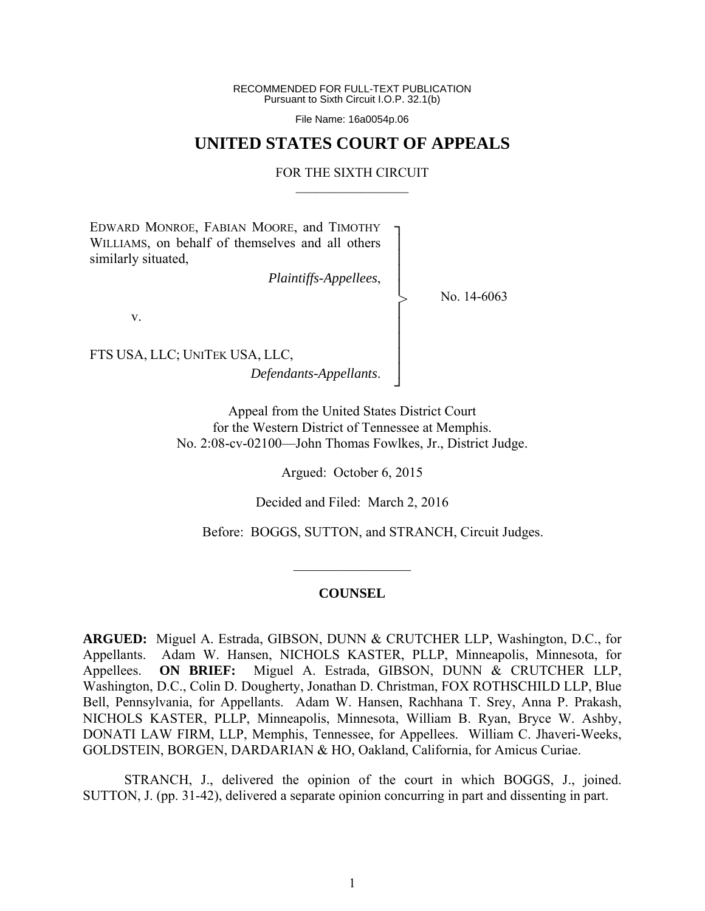RECOMMENDED FOR FULL-TEXT PUBLICATION Pursuant to Sixth Circuit I.O.P. 32.1(b)

File Name: 16a0054p.06

# **UNITED STATES COURT OF APPEALS**

### FOR THE SIXTH CIRCUIT  $\mathcal{L}_\text{max}$

┐ │ │ │ │ │ │ │ │ │ ┘

>

EDWARD MONROE, FABIAN MOORE, and TIMOTHY WILLIAMS, on behalf of themselves and all others similarly situated,

*Plaintiffs-Appellees*,

No. 14-6063

v.

FTS USA, LLC; UNITEK USA, LLC, *Defendants-Appellants*.

> Appeal from the United States District Court for the Western District of Tennessee at Memphis. No. 2:08-cv-02100—John Thomas Fowlkes, Jr., District Judge.

> > Argued: October 6, 2015

Decided and Filed: March 2, 2016

Before: BOGGS, SUTTON, and STRANCH, Circuit Judges.

#### **COUNSEL**

 $\frac{1}{2}$ 

**ARGUED:** Miguel A. Estrada, GIBSON, DUNN & CRUTCHER LLP, Washington, D.C., for Appellants. Adam W. Hansen, NICHOLS KASTER, PLLP, Minneapolis, Minnesota, for Appellees. **ON BRIEF:** Miguel A. Estrada, GIBSON, DUNN & CRUTCHER LLP, Washington, D.C., Colin D. Dougherty, Jonathan D. Christman, FOX ROTHSCHILD LLP, Blue Bell, Pennsylvania, for Appellants. Adam W. Hansen, Rachhana T. Srey, Anna P. Prakash, NICHOLS KASTER, PLLP, Minneapolis, Minnesota, William B. Ryan, Bryce W. Ashby, DONATI LAW FIRM, LLP, Memphis, Tennessee, for Appellees. William C. Jhaveri-Weeks, GOLDSTEIN, BORGEN, DARDARIAN & HO, Oakland, California, for Amicus Curiae.

 STRANCH, J., delivered the opinion of the court in which BOGGS, J., joined. SUTTON, J. (pp. 31-42), delivered a separate opinion concurring in part and dissenting in part.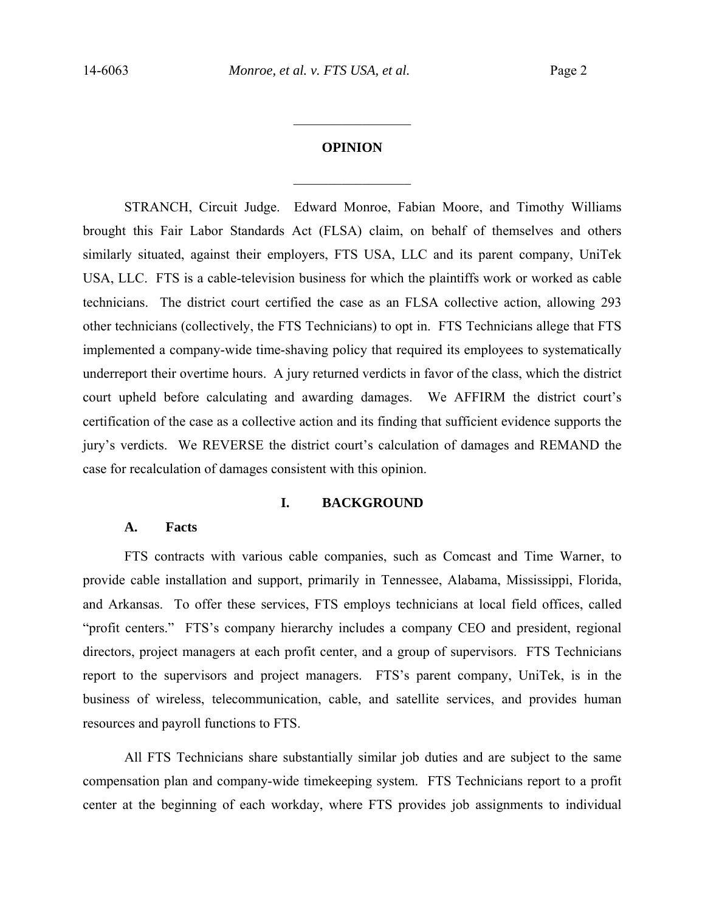# **OPINION**

 $\frac{1}{2}$ 

 $\frac{1}{2}$ 

STRANCH, Circuit Judge.Edward Monroe, Fabian Moore, and Timothy Williams brought this Fair Labor Standards Act (FLSA) claim, on behalf of themselves and others similarly situated, against their employers, FTS USA, LLC and its parent company, UniTek USA, LLC. FTS is a cable-television business for which the plaintiffs work or worked as cable technicians. The district court certified the case as an FLSA collective action, allowing 293 other technicians (collectively, the FTS Technicians) to opt in. FTS Technicians allege that FTS implemented a company-wide time-shaving policy that required its employees to systematically underreport their overtime hours. A jury returned verdicts in favor of the class, which the district court upheld before calculating and awarding damages. We AFFIRM the district court's certification of the case as a collective action and its finding that sufficient evidence supports the jury's verdicts. We REVERSE the district court's calculation of damages and REMAND the case for recalculation of damages consistent with this opinion.

### **I. BACKGROUND**

#### **A. Facts**

FTS contracts with various cable companies, such as Comcast and Time Warner, to provide cable installation and support, primarily in Tennessee, Alabama, Mississippi, Florida, and Arkansas. To offer these services, FTS employs technicians at local field offices, called "profit centers." FTS's company hierarchy includes a company CEO and president, regional directors, project managers at each profit center, and a group of supervisors. FTS Technicians report to the supervisors and project managers. FTS's parent company, UniTek, is in the business of wireless, telecommunication, cable, and satellite services, and provides human resources and payroll functions to FTS.

All FTS Technicians share substantially similar job duties and are subject to the same compensation plan and company-wide timekeeping system. FTS Technicians report to a profit center at the beginning of each workday, where FTS provides job assignments to individual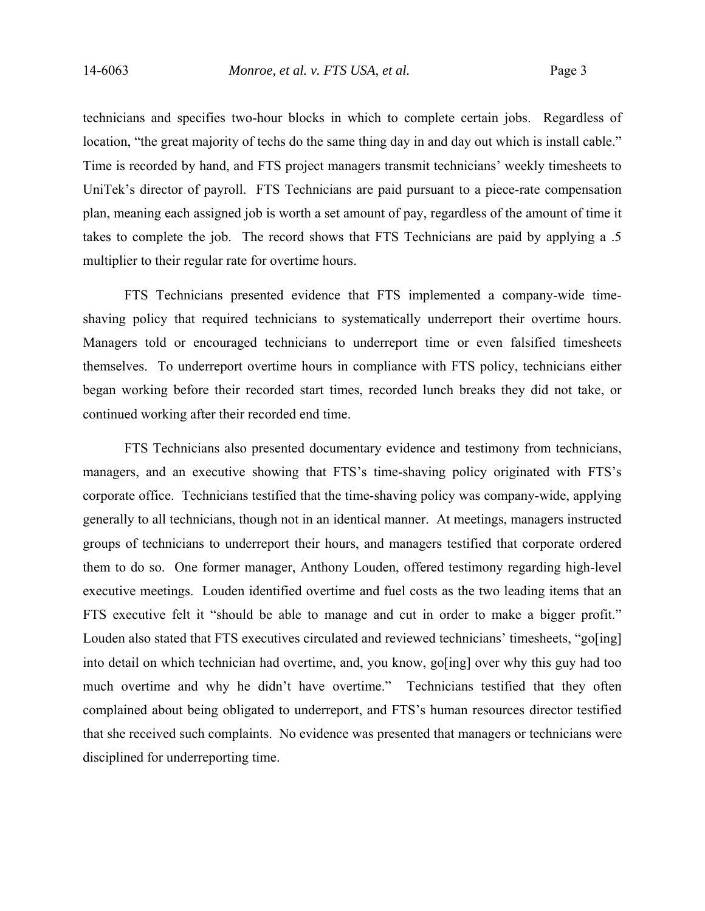technicians and specifies two-hour blocks in which to complete certain jobs. Regardless of location, "the great majority of techs do the same thing day in and day out which is install cable." Time is recorded by hand, and FTS project managers transmit technicians' weekly timesheets to UniTek's director of payroll. FTS Technicians are paid pursuant to a piece-rate compensation plan, meaning each assigned job is worth a set amount of pay, regardless of the amount of time it takes to complete the job. The record shows that FTS Technicians are paid by applying a .5 multiplier to their regular rate for overtime hours.

FTS Technicians presented evidence that FTS implemented a company-wide timeshaving policy that required technicians to systematically underreport their overtime hours. Managers told or encouraged technicians to underreport time or even falsified timesheets themselves. To underreport overtime hours in compliance with FTS policy, technicians either began working before their recorded start times, recorded lunch breaks they did not take, or continued working after their recorded end time.

FTS Technicians also presented documentary evidence and testimony from technicians, managers, and an executive showing that FTS's time-shaving policy originated with FTS's corporate office. Technicians testified that the time-shaving policy was company-wide, applying generally to all technicians, though not in an identical manner. At meetings, managers instructed groups of technicians to underreport their hours, and managers testified that corporate ordered them to do so. One former manager, Anthony Louden, offered testimony regarding high-level executive meetings. Louden identified overtime and fuel costs as the two leading items that an FTS executive felt it "should be able to manage and cut in order to make a bigger profit." Louden also stated that FTS executives circulated and reviewed technicians' timesheets, "go[ing] into detail on which technician had overtime, and, you know, go[ing] over why this guy had too much overtime and why he didn't have overtime." Technicians testified that they often complained about being obligated to underreport, and FTS's human resources director testified that she received such complaints. No evidence was presented that managers or technicians were disciplined for underreporting time.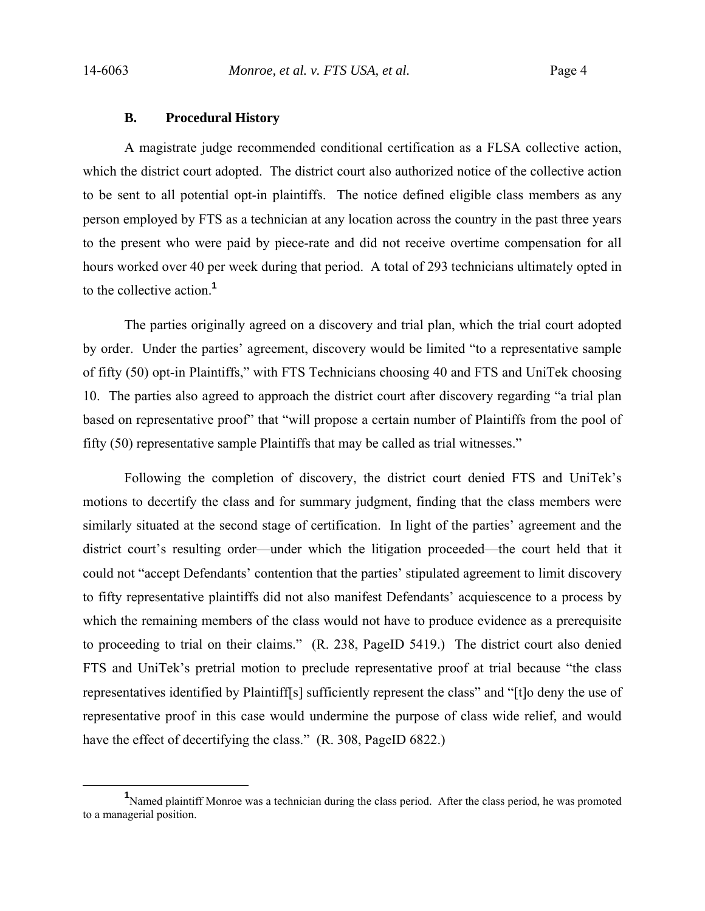#### **B. Procedural History**

 A magistrate judge recommended conditional certification as a FLSA collective action, which the district court adopted. The district court also authorized notice of the collective action to be sent to all potential opt-in plaintiffs. The notice defined eligible class members as any person employed by FTS as a technician at any location across the country in the past three years to the present who were paid by piece-rate and did not receive overtime compensation for all hours worked over 40 per week during that period. A total of 293 technicians ultimately opted in to the collective action.**<sup>1</sup>**

The parties originally agreed on a discovery and trial plan, which the trial court adopted by order. Under the parties' agreement, discovery would be limited "to a representative sample of fifty (50) opt-in Plaintiffs," with FTS Technicians choosing 40 and FTS and UniTek choosing 10. The parties also agreed to approach the district court after discovery regarding "a trial plan based on representative proof" that "will propose a certain number of Plaintiffs from the pool of fifty (50) representative sample Plaintiffs that may be called as trial witnesses."

Following the completion of discovery, the district court denied FTS and UniTek's motions to decertify the class and for summary judgment, finding that the class members were similarly situated at the second stage of certification. In light of the parties' agreement and the district court's resulting order—under which the litigation proceeded—the court held that it could not "accept Defendants' contention that the parties' stipulated agreement to limit discovery to fifty representative plaintiffs did not also manifest Defendants' acquiescence to a process by which the remaining members of the class would not have to produce evidence as a prerequisite to proceeding to trial on their claims." (R. 238, PageID 5419.) The district court also denied FTS and UniTek's pretrial motion to preclude representative proof at trial because "the class representatives identified by Plaintiff[s] sufficiently represent the class" and "[t]o deny the use of representative proof in this case would undermine the purpose of class wide relief, and would have the effect of decertifying the class." (R. 308, PageID 6822.)

<sup>&</sup>lt;u>1</u> <sup>1</sup>Named plaintiff Monroe was a technician during the class period. After the class period, he was promoted to a managerial position.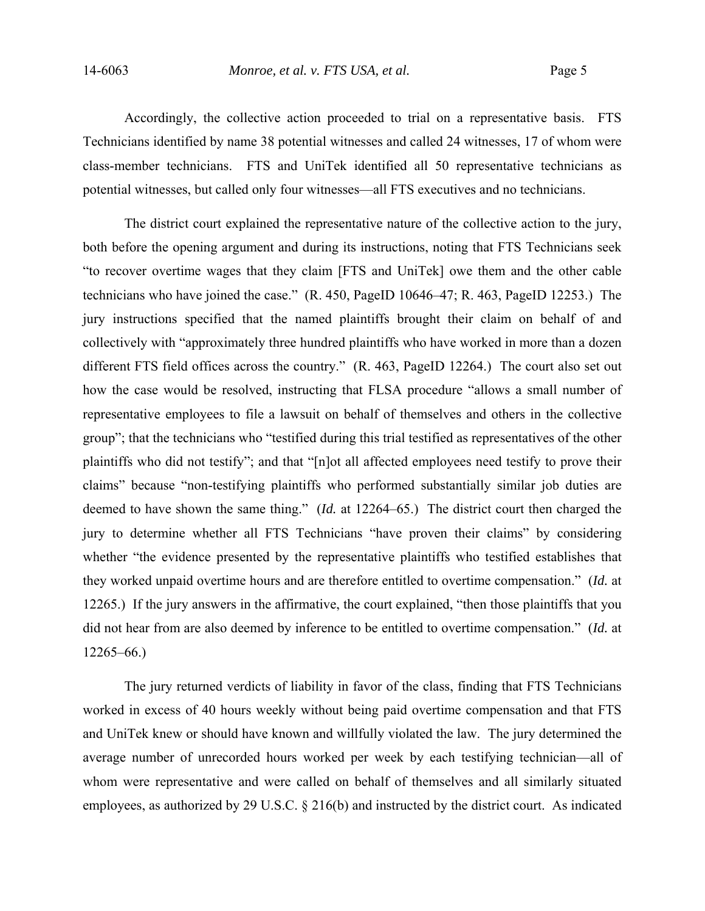Accordingly, the collective action proceeded to trial on a representative basis. FTS Technicians identified by name 38 potential witnesses and called 24 witnesses, 17 of whom were class-member technicians. FTS and UniTek identified all 50 representative technicians as potential witnesses, but called only four witnesses—all FTS executives and no technicians.

The district court explained the representative nature of the collective action to the jury, both before the opening argument and during its instructions, noting that FTS Technicians seek "to recover overtime wages that they claim [FTS and UniTek] owe them and the other cable technicians who have joined the case." (R. 450, PageID 10646–47; R. 463, PageID 12253.) The jury instructions specified that the named plaintiffs brought their claim on behalf of and collectively with "approximately three hundred plaintiffs who have worked in more than a dozen different FTS field offices across the country." (R. 463, PageID 12264.) The court also set out how the case would be resolved, instructing that FLSA procedure "allows a small number of representative employees to file a lawsuit on behalf of themselves and others in the collective group"; that the technicians who "testified during this trial testified as representatives of the other plaintiffs who did not testify"; and that "[n]ot all affected employees need testify to prove their claims" because "non-testifying plaintiffs who performed substantially similar job duties are deemed to have shown the same thing." (*Id.* at 12264–65.) The district court then charged the jury to determine whether all FTS Technicians "have proven their claims" by considering whether "the evidence presented by the representative plaintiffs who testified establishes that they worked unpaid overtime hours and are therefore entitled to overtime compensation." (*Id.* at 12265.) If the jury answers in the affirmative, the court explained, "then those plaintiffs that you did not hear from are also deemed by inference to be entitled to overtime compensation." (*Id.* at 12265–66.)

The jury returned verdicts of liability in favor of the class, finding that FTS Technicians worked in excess of 40 hours weekly without being paid overtime compensation and that FTS and UniTek knew or should have known and willfully violated the law. The jury determined the average number of unrecorded hours worked per week by each testifying technician—all of whom were representative and were called on behalf of themselves and all similarly situated employees, as authorized by 29 U.S.C. § 216(b) and instructed by the district court. As indicated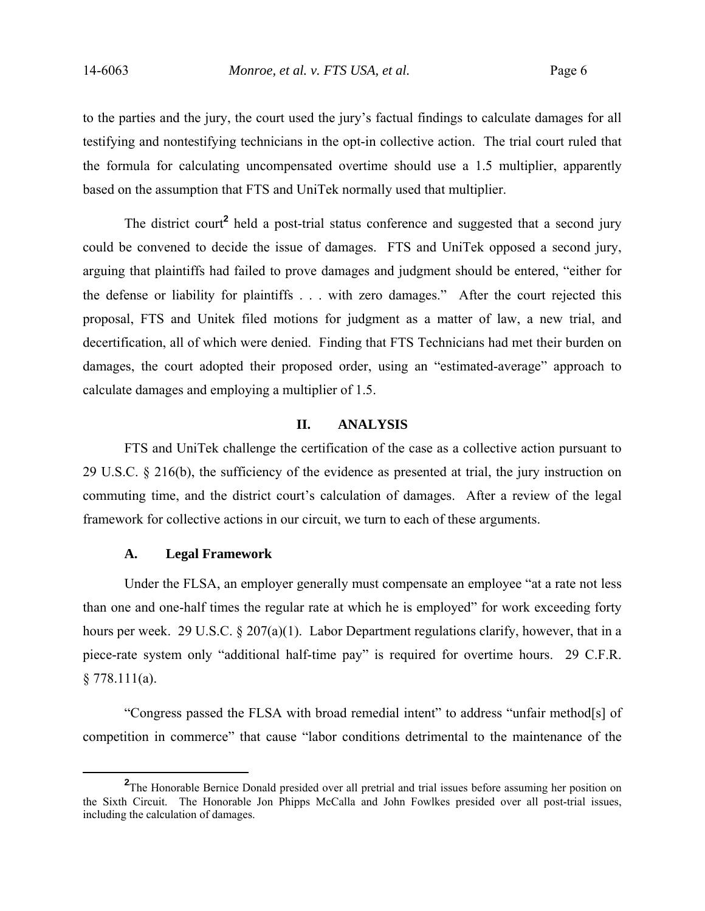to the parties and the jury, the court used the jury's factual findings to calculate damages for all testifying and nontestifying technicians in the opt-in collective action. The trial court ruled that the formula for calculating uncompensated overtime should use a 1.5 multiplier, apparently based on the assumption that FTS and UniTek normally used that multiplier.

The district court<sup>2</sup> held a post-trial status conference and suggested that a second jury could be convened to decide the issue of damages. FTS and UniTek opposed a second jury, arguing that plaintiffs had failed to prove damages and judgment should be entered, "either for the defense or liability for plaintiffs . . . with zero damages." After the court rejected this proposal, FTS and Unitek filed motions for judgment as a matter of law, a new trial, and decertification, all of which were denied. Finding that FTS Technicians had met their burden on damages, the court adopted their proposed order, using an "estimated-average" approach to calculate damages and employing a multiplier of 1.5.

## **II. ANALYSIS**

 FTS and UniTek challenge the certification of the case as a collective action pursuant to 29 U.S.C. § 216(b), the sufficiency of the evidence as presented at trial, the jury instruction on commuting time, and the district court's calculation of damages. After a review of the legal framework for collective actions in our circuit, we turn to each of these arguments.

### **A. Legal Framework**

Under the FLSA, an employer generally must compensate an employee "at a rate not less than one and one-half times the regular rate at which he is employed" for work exceeding forty hours per week. 29 U.S.C. § 207(a)(1). Labor Department regulations clarify, however, that in a piece-rate system only "additional half-time pay" is required for overtime hours. 29 C.F.R.  $§ 778.111(a).$ 

"Congress passed the FLSA with broad remedial intent" to address "unfair method[s] of competition in commerce" that cause "labor conditions detrimental to the maintenance of the

**<sup>2</sup>** <sup>2</sup>The Honorable Bernice Donald presided over all pretrial and trial issues before assuming her position on the Sixth Circuit. The Honorable Jon Phipps McCalla and John Fowlkes presided over all post-trial issues, including the calculation of damages.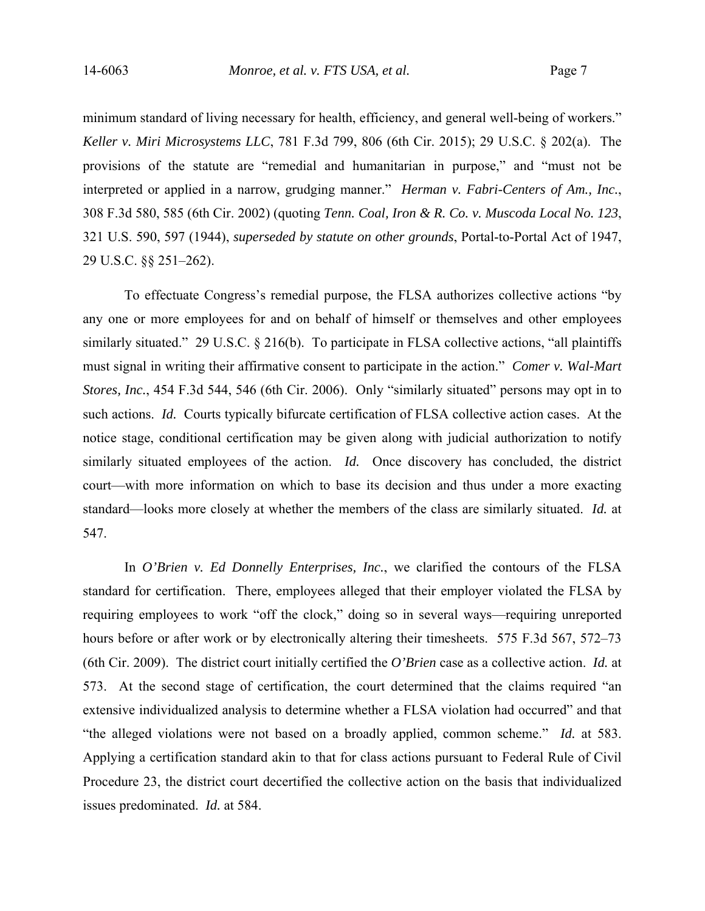minimum standard of living necessary for health, efficiency, and general well-being of workers." *Keller v. Miri Microsystems LLC*, 781 F.3d 799, 806 (6th Cir. 2015); 29 U.S.C. § 202(a). The provisions of the statute are "remedial and humanitarian in purpose," and "must not be interpreted or applied in a narrow, grudging manner." *Herman v. Fabri-Centers of Am., Inc.*, 308 F.3d 580, 585 (6th Cir. 2002) (quoting *Tenn. Coal, Iron & R. Co. v. Muscoda Local No. 123*, 321 U.S. 590, 597 (1944), *superseded by statute on other grounds*, Portal-to-Portal Act of 1947, 29 U.S.C. §§ 251–262).

To effectuate Congress's remedial purpose, the FLSA authorizes collective actions "by any one or more employees for and on behalf of himself or themselves and other employees similarly situated." 29 U.S.C. § 216(b). To participate in FLSA collective actions, "all plaintiffs must signal in writing their affirmative consent to participate in the action." *Comer v. Wal-Mart Stores, Inc.*, 454 F.3d 544, 546 (6th Cir. 2006). Only "similarly situated" persons may opt in to such actions. *Id.* Courts typically bifurcate certification of FLSA collective action cases. At the notice stage, conditional certification may be given along with judicial authorization to notify similarly situated employees of the action. *Id.* Once discovery has concluded, the district court—with more information on which to base its decision and thus under a more exacting standard—looks more closely at whether the members of the class are similarly situated. *Id.* at 547.

In *O'Brien v. Ed Donnelly Enterprises, Inc.*, we clarified the contours of the FLSA standard for certification. There, employees alleged that their employer violated the FLSA by requiring employees to work "off the clock," doing so in several ways—requiring unreported hours before or after work or by electronically altering their timesheets. 575 F.3d 567, 572–73 (6th Cir. 2009). The district court initially certified the *O'Brien* case as a collective action. *Id.* at 573. At the second stage of certification, the court determined that the claims required "an extensive individualized analysis to determine whether a FLSA violation had occurred" and that "the alleged violations were not based on a broadly applied, common scheme." *Id.* at 583. Applying a certification standard akin to that for class actions pursuant to Federal Rule of Civil Procedure 23, the district court decertified the collective action on the basis that individualized issues predominated. *Id.* at 584.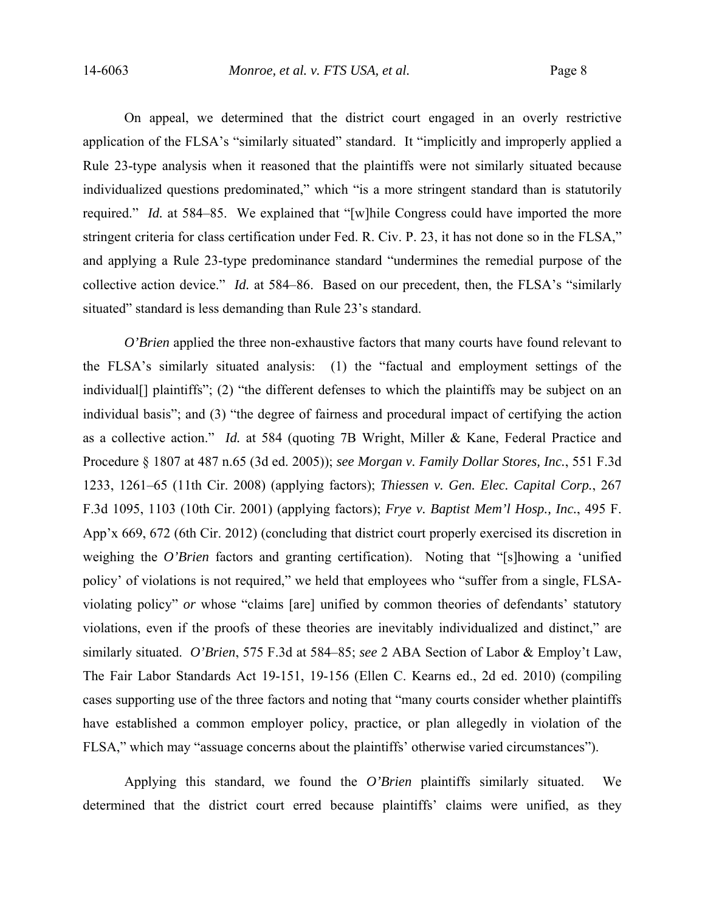On appeal, we determined that the district court engaged in an overly restrictive application of the FLSA's "similarly situated" standard. It "implicitly and improperly applied a Rule 23-type analysis when it reasoned that the plaintiffs were not similarly situated because individualized questions predominated," which "is a more stringent standard than is statutorily required." *Id.* at 584–85. We explained that "[w]hile Congress could have imported the more stringent criteria for class certification under Fed. R. Civ. P. 23, it has not done so in the FLSA," and applying a Rule 23-type predominance standard "undermines the remedial purpose of the collective action device." *Id.* at 584–86. Based on our precedent, then, the FLSA's "similarly situated" standard is less demanding than Rule 23's standard.

*O'Brien* applied the three non-exhaustive factors that many courts have found relevant to the FLSA's similarly situated analysis: (1) the "factual and employment settings of the individual<sup>[]</sup> plaintiffs"; (2) "the different defenses to which the plaintiffs may be subject on an individual basis"; and (3) "the degree of fairness and procedural impact of certifying the action as a collective action." *Id.* at 584 (quoting 7B Wright, Miller & Kane, Federal Practice and Procedure § 1807 at 487 n.65 (3d ed. 2005)); *see Morgan v. Family Dollar Stores, Inc.*, 551 F.3d 1233, 1261–65 (11th Cir. 2008) (applying factors); *Thiessen v. Gen. Elec. Capital Corp.*, 267 F.3d 1095, 1103 (10th Cir. 2001) (applying factors); *Frye v. Baptist Mem'l Hosp., Inc.*, 495 F. App'x 669, 672 (6th Cir. 2012) (concluding that district court properly exercised its discretion in weighing the *O'Brien* factors and granting certification). Noting that "[s]howing a 'unified policy' of violations is not required," we held that employees who "suffer from a single, FLSAviolating policy" *or* whose "claims [are] unified by common theories of defendants' statutory violations, even if the proofs of these theories are inevitably individualized and distinct," are similarly situated. *O'Brien*, 575 F.3d at 584–85; *see* 2 ABA Section of Labor & Employ't Law, The Fair Labor Standards Act 19-151, 19-156 (Ellen C. Kearns ed., 2d ed. 2010) (compiling cases supporting use of the three factors and noting that "many courts consider whether plaintiffs have established a common employer policy, practice, or plan allegedly in violation of the FLSA," which may "assuage concerns about the plaintiffs' otherwise varied circumstances").

Applying this standard, we found the *O'Brien* plaintiffs similarly situated. We determined that the district court erred because plaintiffs' claims were unified, as they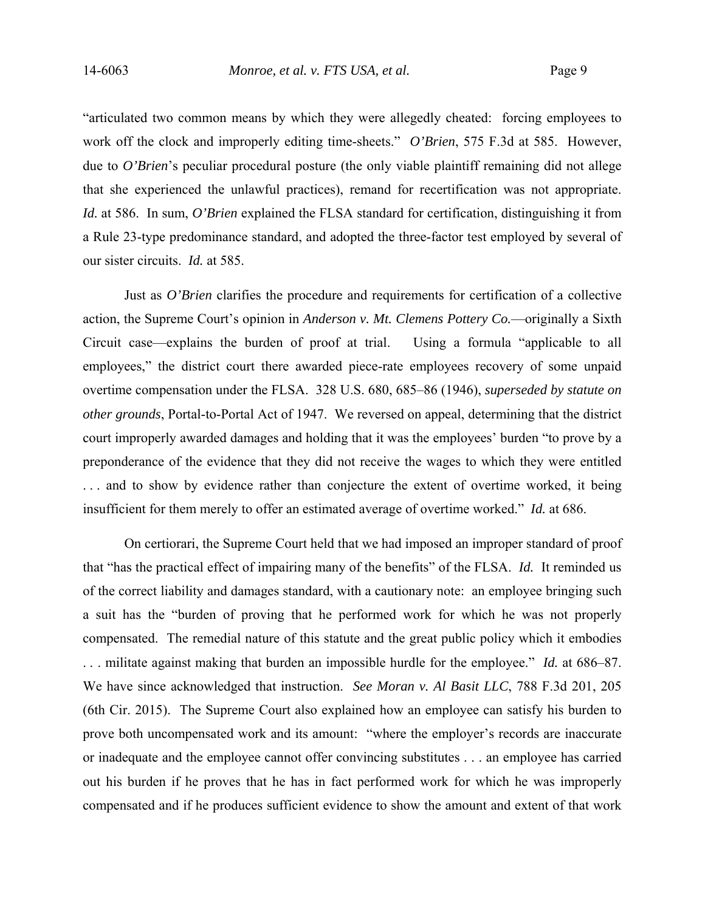"articulated two common means by which they were allegedly cheated: forcing employees to work off the clock and improperly editing time-sheets." *O'Brien*, 575 F.3d at 585. However, due to *O'Brien*'s peculiar procedural posture (the only viable plaintiff remaining did not allege that she experienced the unlawful practices), remand for recertification was not appropriate. *Id.* at 586. In sum, *O'Brien* explained the FLSA standard for certification, distinguishing it from a Rule 23-type predominance standard, and adopted the three-factor test employed by several of our sister circuits. *Id.* at 585.

Just as *O'Brien* clarifies the procedure and requirements for certification of a collective action, the Supreme Court's opinion in *Anderson v. Mt. Clemens Pottery Co.*—originally a Sixth Circuit case—explains the burden of proof at trial. Using a formula "applicable to all employees," the district court there awarded piece-rate employees recovery of some unpaid overtime compensation under the FLSA. 328 U.S. 680, 685–86 (1946), *superseded by statute on other grounds*, Portal-to-Portal Act of 1947. We reversed on appeal, determining that the district court improperly awarded damages and holding that it was the employees' burden "to prove by a preponderance of the evidence that they did not receive the wages to which they were entitled . . . and to show by evidence rather than conjecture the extent of overtime worked, it being insufficient for them merely to offer an estimated average of overtime worked." *Id.* at 686.

On certiorari, the Supreme Court held that we had imposed an improper standard of proof that "has the practical effect of impairing many of the benefits" of the FLSA. *Id.* It reminded us of the correct liability and damages standard, with a cautionary note: an employee bringing such a suit has the "burden of proving that he performed work for which he was not properly compensated. The remedial nature of this statute and the great public policy which it embodies . . . militate against making that burden an impossible hurdle for the employee." *Id.* at 686–87. We have since acknowledged that instruction. *See Moran v. Al Basit LLC*, 788 F.3d 201, 205 (6th Cir. 2015). The Supreme Court also explained how an employee can satisfy his burden to prove both uncompensated work and its amount: "where the employer's records are inaccurate or inadequate and the employee cannot offer convincing substitutes . . . an employee has carried out his burden if he proves that he has in fact performed work for which he was improperly compensated and if he produces sufficient evidence to show the amount and extent of that work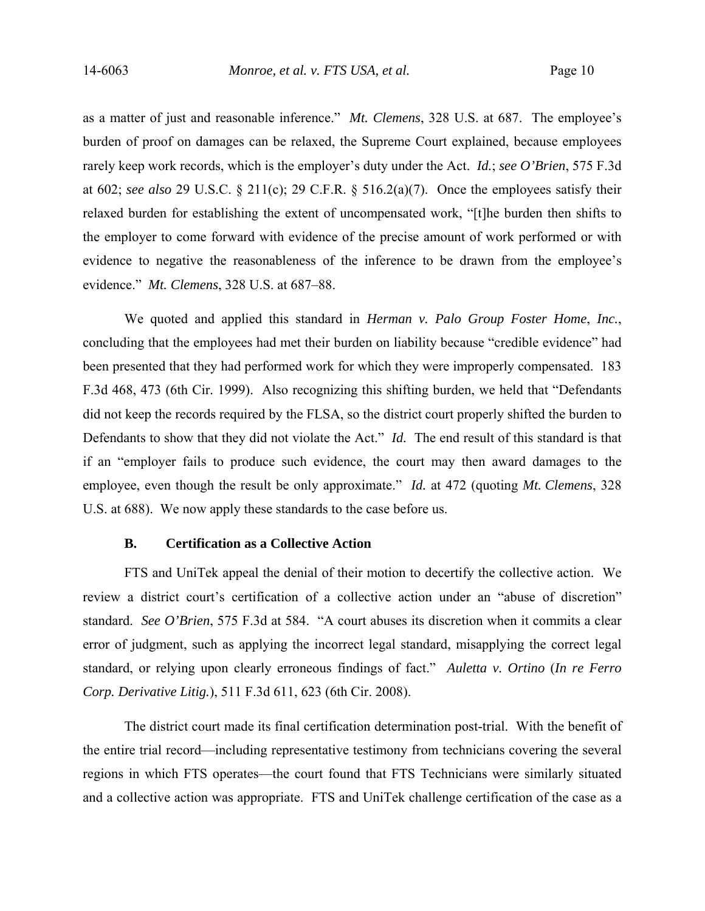as a matter of just and reasonable inference." *Mt. Clemens*, 328 U.S. at 687. The employee's burden of proof on damages can be relaxed, the Supreme Court explained, because employees rarely keep work records, which is the employer's duty under the Act. *Id.*; *see O'Brien*, 575 F.3d at 602; *see also* 29 U.S.C. § 211(c); 29 C.F.R. § 516.2(a)(7). Once the employees satisfy their relaxed burden for establishing the extent of uncompensated work, "[t]he burden then shifts to the employer to come forward with evidence of the precise amount of work performed or with evidence to negative the reasonableness of the inference to be drawn from the employee's evidence." *Mt. Clemens*, 328 U.S. at 687–88.

We quoted and applied this standard in *Herman v. Palo Group Foster Home*, *Inc.*, concluding that the employees had met their burden on liability because "credible evidence" had been presented that they had performed work for which they were improperly compensated. 183 F.3d 468, 473 (6th Cir. 1999). Also recognizing this shifting burden, we held that "Defendants did not keep the records required by the FLSA, so the district court properly shifted the burden to Defendants to show that they did not violate the Act." *Id.* The end result of this standard is that if an "employer fails to produce such evidence, the court may then award damages to the employee, even though the result be only approximate." *Id.* at 472 (quoting *Mt. Clemens*, 328 U.S. at 688). We now apply these standards to the case before us.

## **B. Certification as a Collective Action**

FTS and UniTek appeal the denial of their motion to decertify the collective action. We review a district court's certification of a collective action under an "abuse of discretion" standard. *See O'Brien*, 575 F.3d at 584. "A court abuses its discretion when it commits a clear error of judgment, such as applying the incorrect legal standard, misapplying the correct legal standard, or relying upon clearly erroneous findings of fact." *Auletta v. Ortino* (*In re Ferro Corp. Derivative Litig.*), 511 F.3d 611, 623 (6th Cir. 2008).

The district court made its final certification determination post-trial. With the benefit of the entire trial record—including representative testimony from technicians covering the several regions in which FTS operates—the court found that FTS Technicians were similarly situated and a collective action was appropriate. FTS and UniTek challenge certification of the case as a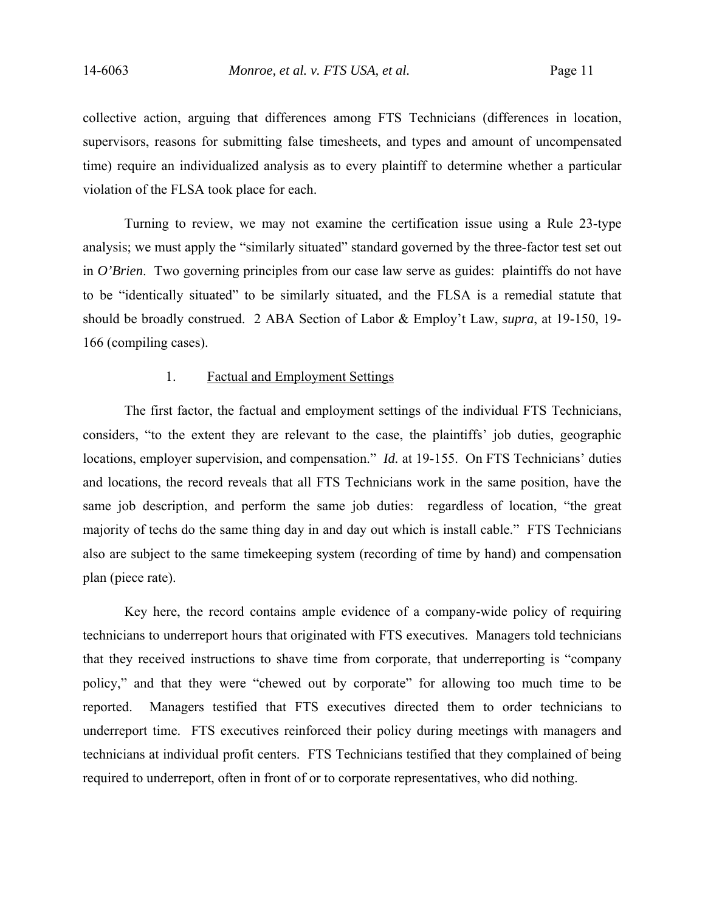collective action, arguing that differences among FTS Technicians (differences in location, supervisors, reasons for submitting false timesheets, and types and amount of uncompensated time) require an individualized analysis as to every plaintiff to determine whether a particular violation of the FLSA took place for each.

Turning to review, we may not examine the certification issue using a Rule 23-type analysis; we must apply the "similarly situated" standard governed by the three-factor test set out in *O'Brien*. Two governing principles from our case law serve as guides: plaintiffs do not have to be "identically situated" to be similarly situated, and the FLSA is a remedial statute that should be broadly construed. 2 ABA Section of Labor & Employ't Law, *supra*, at 19-150, 19- 166 (compiling cases).

### 1. Factual and Employment Settings

The first factor, the factual and employment settings of the individual FTS Technicians, considers, "to the extent they are relevant to the case, the plaintiffs' job duties, geographic locations, employer supervision, and compensation." *Id.* at 19-155. On FTS Technicians' duties and locations, the record reveals that all FTS Technicians work in the same position, have the same job description, and perform the same job duties: regardless of location, "the great majority of techs do the same thing day in and day out which is install cable." FTS Technicians also are subject to the same timekeeping system (recording of time by hand) and compensation plan (piece rate).

Key here, the record contains ample evidence of a company-wide policy of requiring technicians to underreport hours that originated with FTS executives. Managers told technicians that they received instructions to shave time from corporate, that underreporting is "company policy," and that they were "chewed out by corporate" for allowing too much time to be reported. Managers testified that FTS executives directed them to order technicians to underreport time. FTS executives reinforced their policy during meetings with managers and technicians at individual profit centers. FTS Technicians testified that they complained of being required to underreport, often in front of or to corporate representatives, who did nothing.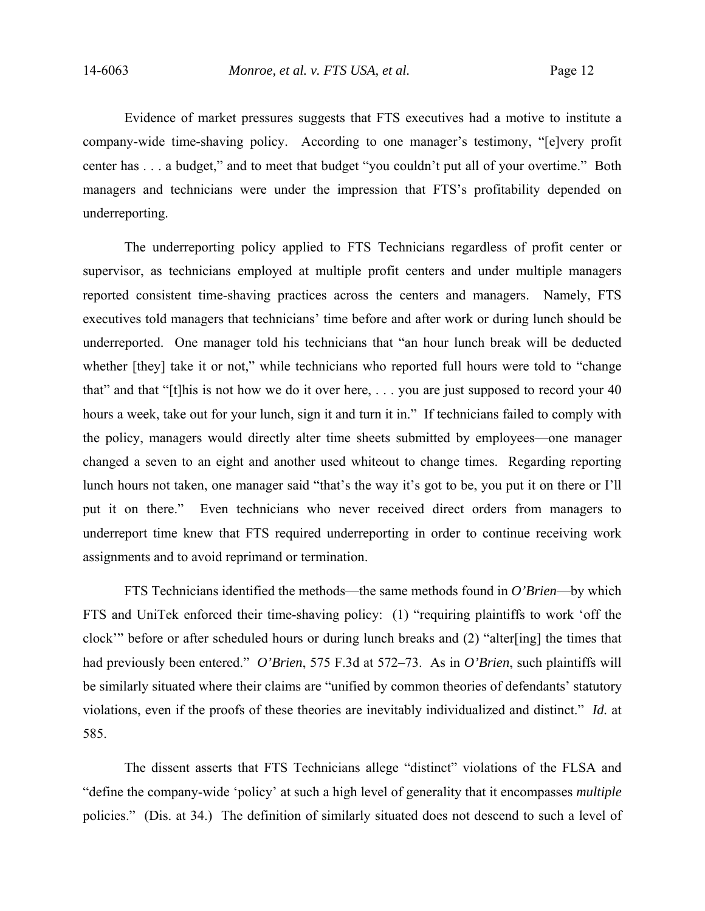Evidence of market pressures suggests that FTS executives had a motive to institute a company-wide time-shaving policy. According to one manager's testimony, "[e]very profit center has . . . a budget," and to meet that budget "you couldn't put all of your overtime." Both managers and technicians were under the impression that FTS's profitability depended on underreporting.

The underreporting policy applied to FTS Technicians regardless of profit center or supervisor, as technicians employed at multiple profit centers and under multiple managers reported consistent time-shaving practices across the centers and managers. Namely, FTS executives told managers that technicians' time before and after work or during lunch should be underreported. One manager told his technicians that "an hour lunch break will be deducted whether [they] take it or not," while technicians who reported full hours were told to "change" that" and that "[t]his is not how we do it over here, . . . you are just supposed to record your 40 hours a week, take out for your lunch, sign it and turn it in." If technicians failed to comply with the policy, managers would directly alter time sheets submitted by employees—one manager changed a seven to an eight and another used whiteout to change times. Regarding reporting lunch hours not taken, one manager said "that's the way it's got to be, you put it on there or I'll put it on there." Even technicians who never received direct orders from managers to underreport time knew that FTS required underreporting in order to continue receiving work assignments and to avoid reprimand or termination.

FTS Technicians identified the methods—the same methods found in *O'Brien*—by which FTS and UniTek enforced their time-shaving policy: (1) "requiring plaintiffs to work 'off the clock'" before or after scheduled hours or during lunch breaks and (2) "alter[ing] the times that had previously been entered." *O'Brien*, 575 F.3d at 572–73. As in *O'Brien*, such plaintiffs will be similarly situated where their claims are "unified by common theories of defendants' statutory violations, even if the proofs of these theories are inevitably individualized and distinct." *Id.* at 585.

The dissent asserts that FTS Technicians allege "distinct" violations of the FLSA and "define the company-wide 'policy' at such a high level of generality that it encompasses *multiple* policies." (Dis. at 34.) The definition of similarly situated does not descend to such a level of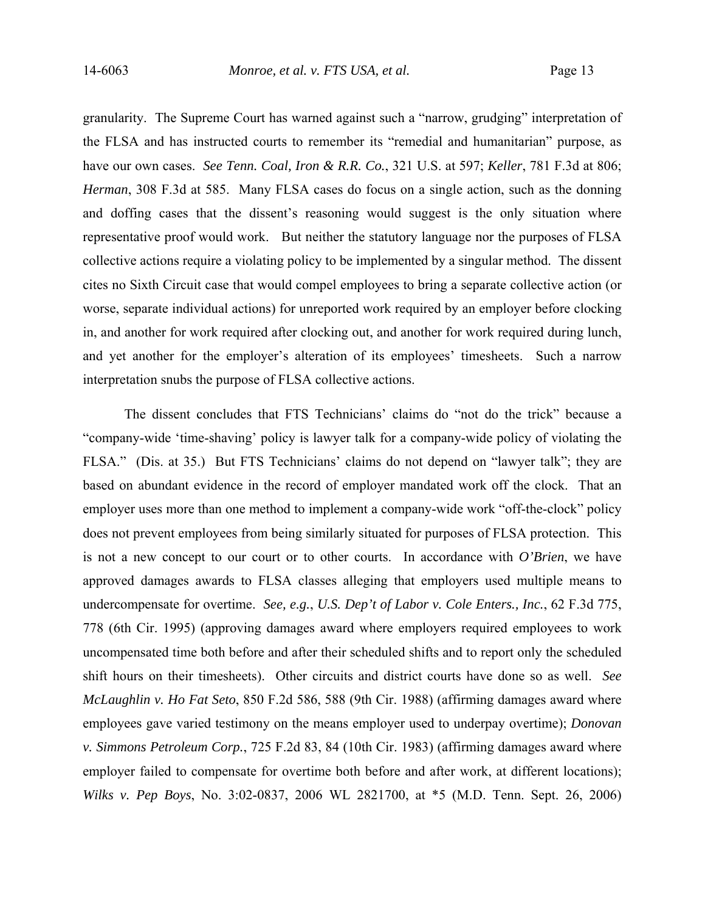granularity. The Supreme Court has warned against such a "narrow, grudging" interpretation of the FLSA and has instructed courts to remember its "remedial and humanitarian" purpose, as have our own cases. *See Tenn. Coal, Iron & R.R. Co.*, 321 U.S. at 597; *Keller*, 781 F.3d at 806; *Herman*, 308 F.3d at 585. Many FLSA cases do focus on a single action, such as the donning and doffing cases that the dissent's reasoning would suggest is the only situation where representative proof would work. But neither the statutory language nor the purposes of FLSA collective actions require a violating policy to be implemented by a singular method. The dissent cites no Sixth Circuit case that would compel employees to bring a separate collective action (or worse, separate individual actions) for unreported work required by an employer before clocking in, and another for work required after clocking out, and another for work required during lunch, and yet another for the employer's alteration of its employees' timesheets. Such a narrow interpretation snubs the purpose of FLSA collective actions.

The dissent concludes that FTS Technicians' claims do "not do the trick" because a "company-wide 'time-shaving' policy is lawyer talk for a company-wide policy of violating the FLSA." (Dis. at 35.) But FTS Technicians' claims do not depend on "lawyer talk"; they are based on abundant evidence in the record of employer mandated work off the clock. That an employer uses more than one method to implement a company-wide work "off-the-clock" policy does not prevent employees from being similarly situated for purposes of FLSA protection. This is not a new concept to our court or to other courts. In accordance with *O'Brien*, we have approved damages awards to FLSA classes alleging that employers used multiple means to undercompensate for overtime. *See, e.g.*, *U.S. Dep't of Labor v. Cole Enters., Inc.*, 62 F.3d 775, 778 (6th Cir. 1995) (approving damages award where employers required employees to work uncompensated time both before and after their scheduled shifts and to report only the scheduled shift hours on their timesheets). Other circuits and district courts have done so as well. *See McLaughlin v. Ho Fat Seto*, 850 F.2d 586, 588 (9th Cir. 1988) (affirming damages award where employees gave varied testimony on the means employer used to underpay overtime); *Donovan v. Simmons Petroleum Corp.*, 725 F.2d 83, 84 (10th Cir. 1983) (affirming damages award where employer failed to compensate for overtime both before and after work, at different locations); *Wilks v. Pep Boys*, No. 3:02-0837, 2006 WL 2821700, at \*5 (M.D. Tenn. Sept. 26, 2006)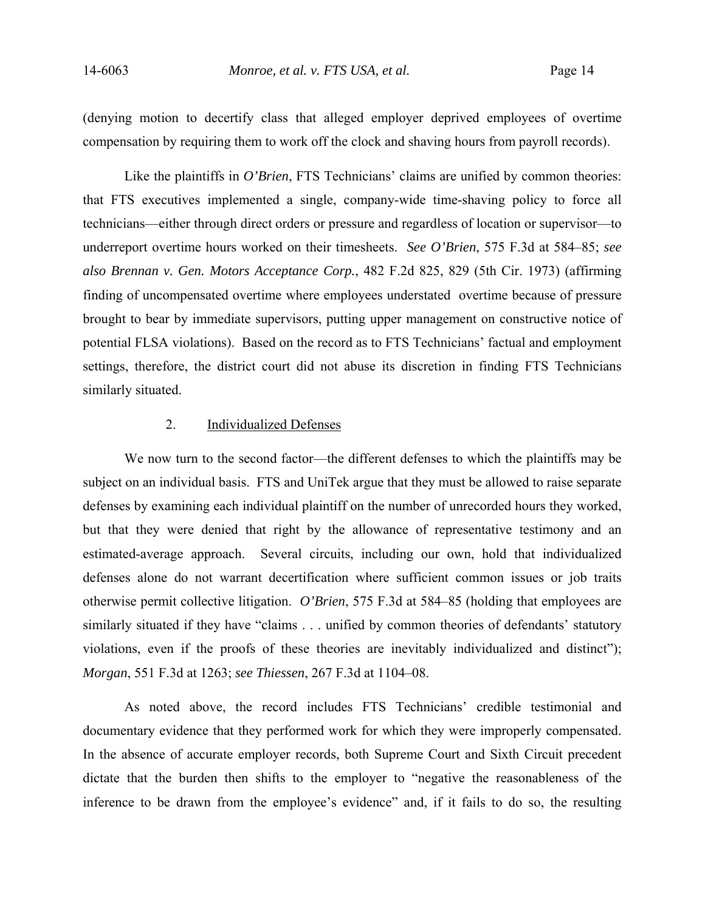(denying motion to decertify class that alleged employer deprived employees of overtime compensation by requiring them to work off the clock and shaving hours from payroll records).

Like the plaintiffs in *O'Brien*, FTS Technicians' claims are unified by common theories: that FTS executives implemented a single, company-wide time-shaving policy to force all technicians—either through direct orders or pressure and regardless of location or supervisor—to underreport overtime hours worked on their timesheets. *See O'Brien*, 575 F.3d at 584–85; *see also Brennan v. Gen. Motors Acceptance Corp.*, 482 F.2d 825, 829 (5th Cir. 1973) (affirming finding of uncompensated overtime where employees understated overtime because of pressure brought to bear by immediate supervisors, putting upper management on constructive notice of potential FLSA violations). Based on the record as to FTS Technicians' factual and employment settings, therefore, the district court did not abuse its discretion in finding FTS Technicians similarly situated.

# 2. Individualized Defenses

We now turn to the second factor—the different defenses to which the plaintiffs may be subject on an individual basis. FTS and UniTek argue that they must be allowed to raise separate defenses by examining each individual plaintiff on the number of unrecorded hours they worked, but that they were denied that right by the allowance of representative testimony and an estimated-average approach. Several circuits, including our own, hold that individualized defenses alone do not warrant decertification where sufficient common issues or job traits otherwise permit collective litigation. *O'Brien*, 575 F.3d at 584–85 (holding that employees are similarly situated if they have "claims . . . unified by common theories of defendants' statutory violations, even if the proofs of these theories are inevitably individualized and distinct"); *Morgan*, 551 F.3d at 1263; *see Thiessen*, 267 F.3d at 1104–08.

As noted above, the record includes FTS Technicians' credible testimonial and documentary evidence that they performed work for which they were improperly compensated. In the absence of accurate employer records, both Supreme Court and Sixth Circuit precedent dictate that the burden then shifts to the employer to "negative the reasonableness of the inference to be drawn from the employee's evidence" and, if it fails to do so, the resulting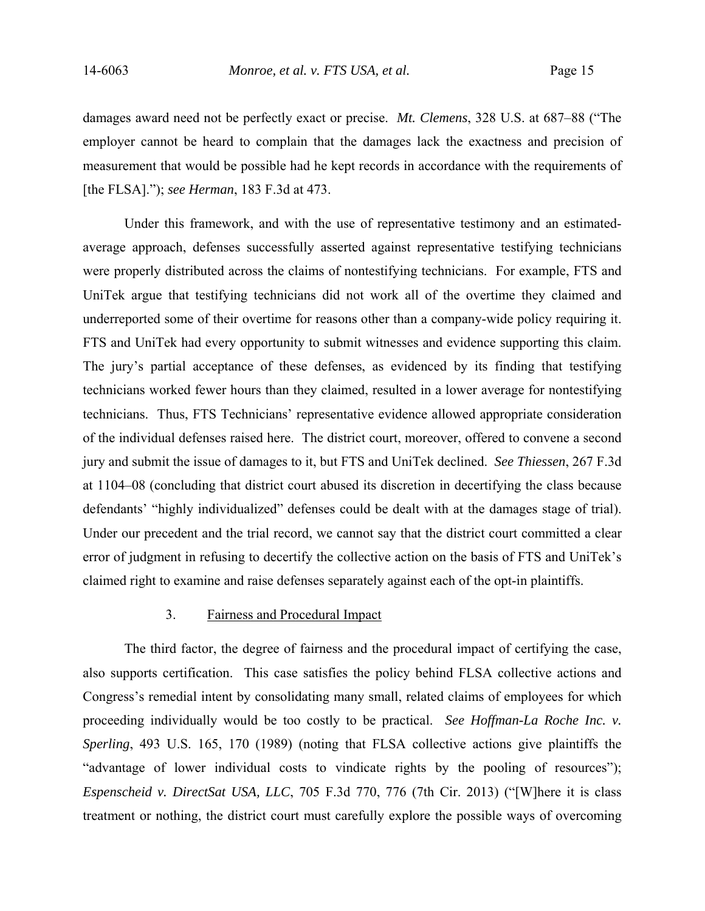damages award need not be perfectly exact or precise. *Mt. Clemens*, 328 U.S. at 687–88 ("The employer cannot be heard to complain that the damages lack the exactness and precision of measurement that would be possible had he kept records in accordance with the requirements of [the FLSA]."); *see Herman*, 183 F.3d at 473.

Under this framework, and with the use of representative testimony and an estimatedaverage approach, defenses successfully asserted against representative testifying technicians were properly distributed across the claims of nontestifying technicians. For example, FTS and UniTek argue that testifying technicians did not work all of the overtime they claimed and underreported some of their overtime for reasons other than a company-wide policy requiring it. FTS and UniTek had every opportunity to submit witnesses and evidence supporting this claim. The jury's partial acceptance of these defenses, as evidenced by its finding that testifying technicians worked fewer hours than they claimed, resulted in a lower average for nontestifying technicians. Thus, FTS Technicians' representative evidence allowed appropriate consideration of the individual defenses raised here. The district court, moreover, offered to convene a second jury and submit the issue of damages to it, but FTS and UniTek declined. *See Thiessen*, 267 F.3d at 1104–08 (concluding that district court abused its discretion in decertifying the class because defendants' "highly individualized" defenses could be dealt with at the damages stage of trial). Under our precedent and the trial record, we cannot say that the district court committed a clear error of judgment in refusing to decertify the collective action on the basis of FTS and UniTek's claimed right to examine and raise defenses separately against each of the opt-in plaintiffs.

# 3. Fairness and Procedural Impact

The third factor, the degree of fairness and the procedural impact of certifying the case, also supports certification. This case satisfies the policy behind FLSA collective actions and Congress's remedial intent by consolidating many small, related claims of employees for which proceeding individually would be too costly to be practical. *See Hoffman-La Roche Inc. v. Sperling*, 493 U.S. 165, 170 (1989) (noting that FLSA collective actions give plaintiffs the "advantage of lower individual costs to vindicate rights by the pooling of resources"); *Espenscheid v. DirectSat USA, LLC*, 705 F.3d 770, 776 (7th Cir. 2013) ("[W]here it is class treatment or nothing, the district court must carefully explore the possible ways of overcoming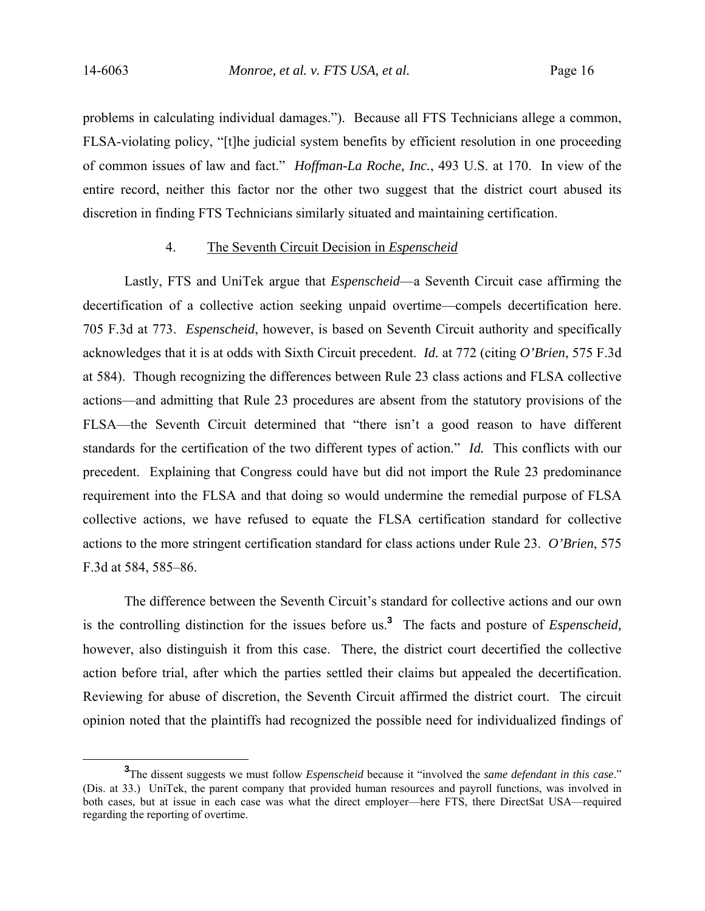problems in calculating individual damages."). Because all FTS Technicians allege a common, FLSA-violating policy, "[t]he judicial system benefits by efficient resolution in one proceeding of common issues of law and fact." *Hoffman-La Roche, Inc.*, 493 U.S. at 170. In view of the entire record, neither this factor nor the other two suggest that the district court abused its discretion in finding FTS Technicians similarly situated and maintaining certification.

## 4. The Seventh Circuit Decision in *Espenscheid*

Lastly, FTS and UniTek argue that *Espenscheid*—a Seventh Circuit case affirming the decertification of a collective action seeking unpaid overtime—compels decertification here. 705 F.3d at 773. *Espenscheid*, however, is based on Seventh Circuit authority and specifically acknowledges that it is at odds with Sixth Circuit precedent. *Id.* at 772 (citing *O'Brien*, 575 F.3d at 584). Though recognizing the differences between Rule 23 class actions and FLSA collective actions—and admitting that Rule 23 procedures are absent from the statutory provisions of the FLSA—the Seventh Circuit determined that "there isn't a good reason to have different standards for the certification of the two different types of action." *Id.* This conflicts with our precedent. Explaining that Congress could have but did not import the Rule 23 predominance requirement into the FLSA and that doing so would undermine the remedial purpose of FLSA collective actions, we have refused to equate the FLSA certification standard for collective actions to the more stringent certification standard for class actions under Rule 23. *O'Brien*, 575 F.3d at 584, 585–86.

The difference between the Seventh Circuit's standard for collective actions and our own is the controlling distinction for the issues before us.**<sup>3</sup>** The facts and posture of *Espenscheid,*  however, also distinguish it from this case. There, the district court decertified the collective action before trial, after which the parties settled their claims but appealed the decertification. Reviewing for abuse of discretion, the Seventh Circuit affirmed the district court. The circuit opinion noted that the plaintiffs had recognized the possible need for individualized findings of

**<sup>3</sup>** The dissent suggests we must follow *Espenscheid* because it "involved the *same defendant in this case*." (Dis. at 33.) UniTek, the parent company that provided human resources and payroll functions, was involved in both cases, but at issue in each case was what the direct employer—here FTS, there DirectSat USA—required regarding the reporting of overtime.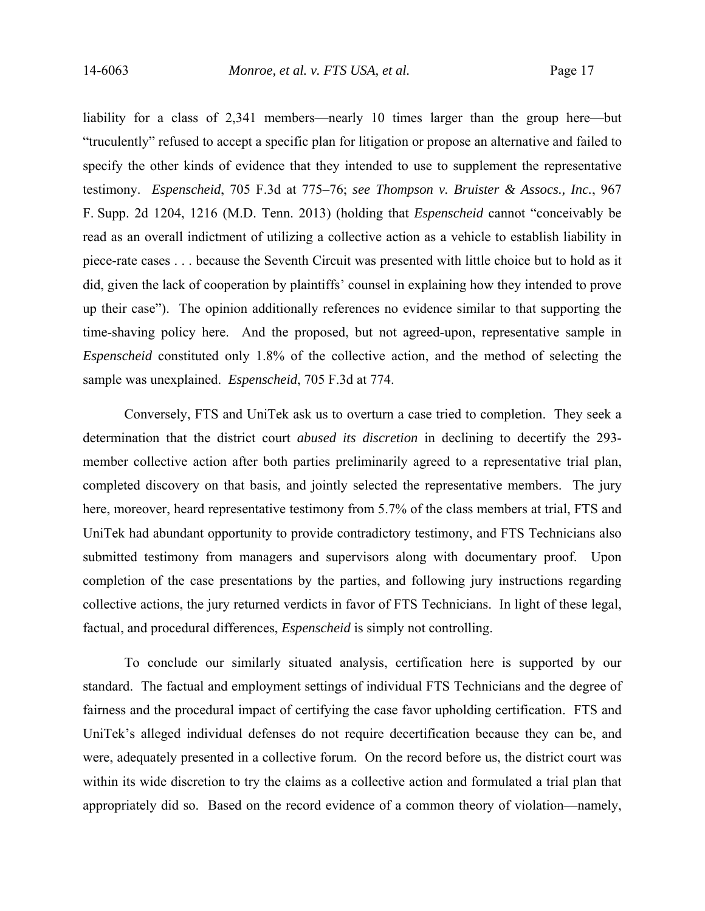liability for a class of 2,341 members—nearly 10 times larger than the group here—but "truculently" refused to accept a specific plan for litigation or propose an alternative and failed to specify the other kinds of evidence that they intended to use to supplement the representative testimony. *Espenscheid*, 705 F.3d at 775–76; *see Thompson v. Bruister & Assocs., Inc.*, 967 F. Supp. 2d 1204, 1216 (M.D. Tenn. 2013) (holding that *Espenscheid* cannot "conceivably be read as an overall indictment of utilizing a collective action as a vehicle to establish liability in piece-rate cases . . . because the Seventh Circuit was presented with little choice but to hold as it did, given the lack of cooperation by plaintiffs' counsel in explaining how they intended to prove up their case"). The opinion additionally references no evidence similar to that supporting the time-shaving policy here. And the proposed, but not agreed-upon, representative sample in *Espenscheid* constituted only 1.8% of the collective action, and the method of selecting the sample was unexplained. *Espenscheid*, 705 F.3d at 774.

Conversely, FTS and UniTek ask us to overturn a case tried to completion. They seek a determination that the district court *abused its discretion* in declining to decertify the 293 member collective action after both parties preliminarily agreed to a representative trial plan, completed discovery on that basis, and jointly selected the representative members. The jury here, moreover, heard representative testimony from 5.7% of the class members at trial, FTS and UniTek had abundant opportunity to provide contradictory testimony, and FTS Technicians also submitted testimony from managers and supervisors along with documentary proof. Upon completion of the case presentations by the parties, and following jury instructions regarding collective actions, the jury returned verdicts in favor of FTS Technicians. In light of these legal, factual, and procedural differences, *Espenscheid* is simply not controlling.

To conclude our similarly situated analysis, certification here is supported by our standard. The factual and employment settings of individual FTS Technicians and the degree of fairness and the procedural impact of certifying the case favor upholding certification. FTS and UniTek's alleged individual defenses do not require decertification because they can be, and were, adequately presented in a collective forum. On the record before us, the district court was within its wide discretion to try the claims as a collective action and formulated a trial plan that appropriately did so. Based on the record evidence of a common theory of violation—namely,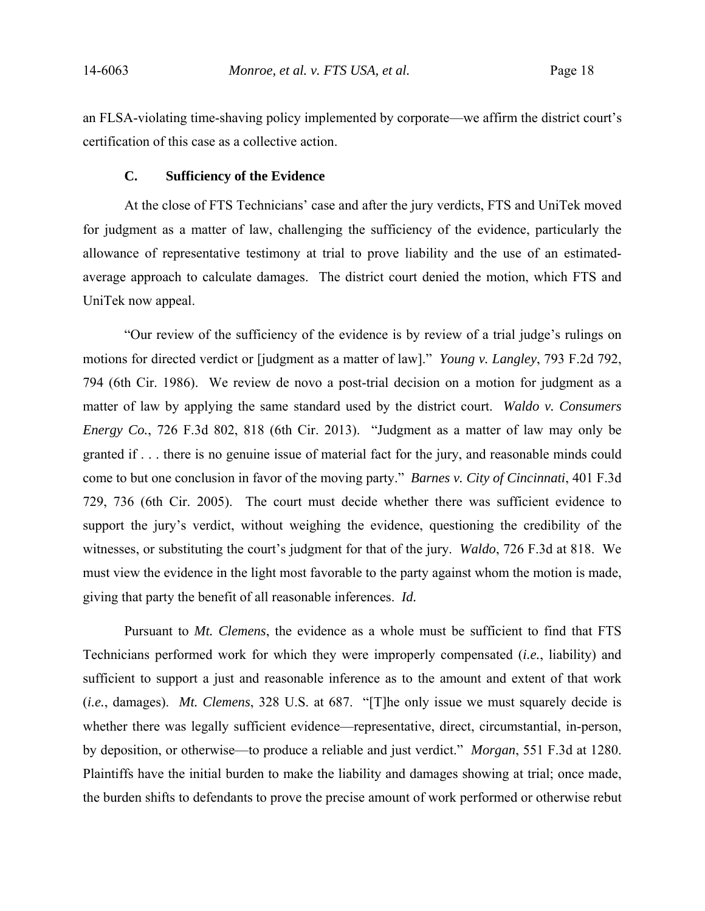an FLSA-violating time-shaving policy implemented by corporate—we affirm the district court's certification of this case as a collective action.

## **C. Sufficiency of the Evidence**

At the close of FTS Technicians' case and after the jury verdicts, FTS and UniTek moved for judgment as a matter of law, challenging the sufficiency of the evidence, particularly the allowance of representative testimony at trial to prove liability and the use of an estimatedaverage approach to calculate damages. The district court denied the motion, which FTS and UniTek now appeal.

"Our review of the sufficiency of the evidence is by review of a trial judge's rulings on motions for directed verdict or [judgment as a matter of law]." *Young v. Langley*, 793 F.2d 792, 794 (6th Cir. 1986). We review de novo a post-trial decision on a motion for judgment as a matter of law by applying the same standard used by the district court. *Waldo v. Consumers Energy Co.*, 726 F.3d 802, 818 (6th Cir. 2013). "Judgment as a matter of law may only be granted if . . . there is no genuine issue of material fact for the jury, and reasonable minds could come to but one conclusion in favor of the moving party." *Barnes v. City of Cincinnati*, 401 F.3d 729, 736 (6th Cir. 2005). The court must decide whether there was sufficient evidence to support the jury's verdict, without weighing the evidence, questioning the credibility of the witnesses, or substituting the court's judgment for that of the jury. *Waldo*, 726 F.3d at 818. We must view the evidence in the light most favorable to the party against whom the motion is made, giving that party the benefit of all reasonable inferences. *Id.*

Pursuant to *Mt. Clemens*, the evidence as a whole must be sufficient to find that FTS Technicians performed work for which they were improperly compensated (*i.e.*, liability) and sufficient to support a just and reasonable inference as to the amount and extent of that work (*i.e.*, damages). *Mt. Clemens*, 328 U.S. at 687. "[T]he only issue we must squarely decide is whether there was legally sufficient evidence—representative, direct, circumstantial, in-person, by deposition, or otherwise—to produce a reliable and just verdict." *Morgan*, 551 F.3d at 1280. Plaintiffs have the initial burden to make the liability and damages showing at trial; once made, the burden shifts to defendants to prove the precise amount of work performed or otherwise rebut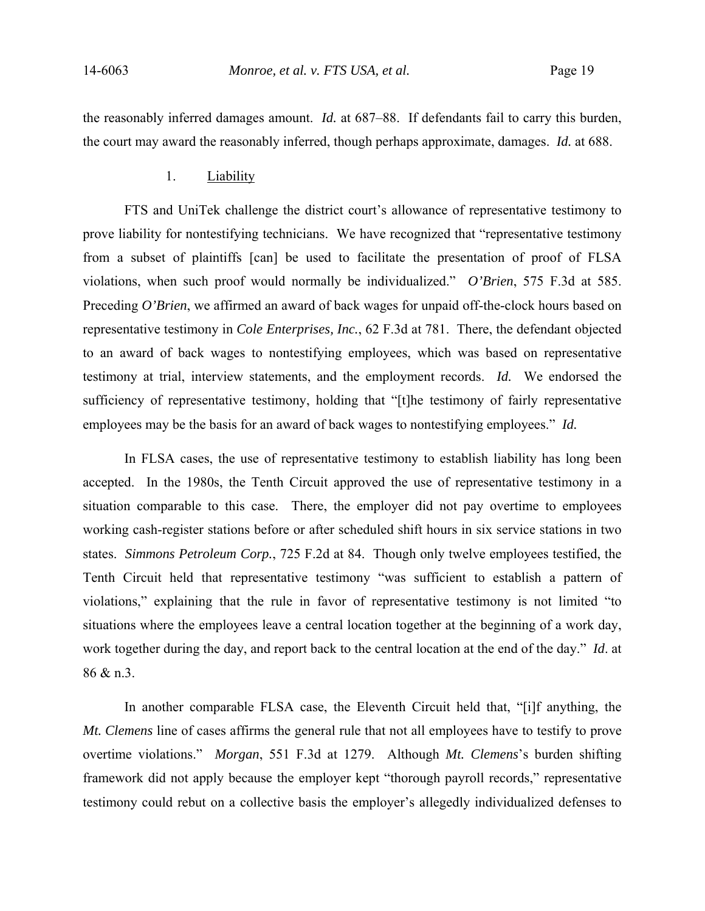the reasonably inferred damages amount. *Id.* at 687–88. If defendants fail to carry this burden, the court may award the reasonably inferred, though perhaps approximate, damages. *Id.* at 688.

## 1. Liability

FTS and UniTek challenge the district court's allowance of representative testimony to prove liability for nontestifying technicians. We have recognized that "representative testimony from a subset of plaintiffs [can] be used to facilitate the presentation of proof of FLSA violations, when such proof would normally be individualized." *O'Brien*, 575 F.3d at 585. Preceding *O'Brien*, we affirmed an award of back wages for unpaid off-the-clock hours based on representative testimony in *Cole Enterprises, Inc.*, 62 F.3d at 781. There, the defendant objected to an award of back wages to nontestifying employees, which was based on representative testimony at trial, interview statements, and the employment records. *Id.* We endorsed the sufficiency of representative testimony, holding that "[t]he testimony of fairly representative employees may be the basis for an award of back wages to nontestifying employees." *Id.*

In FLSA cases, the use of representative testimony to establish liability has long been accepted. In the 1980s, the Tenth Circuit approved the use of representative testimony in a situation comparable to this case. There, the employer did not pay overtime to employees working cash-register stations before or after scheduled shift hours in six service stations in two states. *Simmons Petroleum Corp.*, 725 F.2d at 84. Though only twelve employees testified, the Tenth Circuit held that representative testimony "was sufficient to establish a pattern of violations," explaining that the rule in favor of representative testimony is not limited "to situations where the employees leave a central location together at the beginning of a work day, work together during the day, and report back to the central location at the end of the day." *Id*. at 86 & n.3.

In another comparable FLSA case, the Eleventh Circuit held that, "[i]f anything, the *Mt. Clemens* line of cases affirms the general rule that not all employees have to testify to prove overtime violations." *Morgan*, 551 F.3d at 1279. Although *Mt. Clemens*'s burden shifting framework did not apply because the employer kept "thorough payroll records," representative testimony could rebut on a collective basis the employer's allegedly individualized defenses to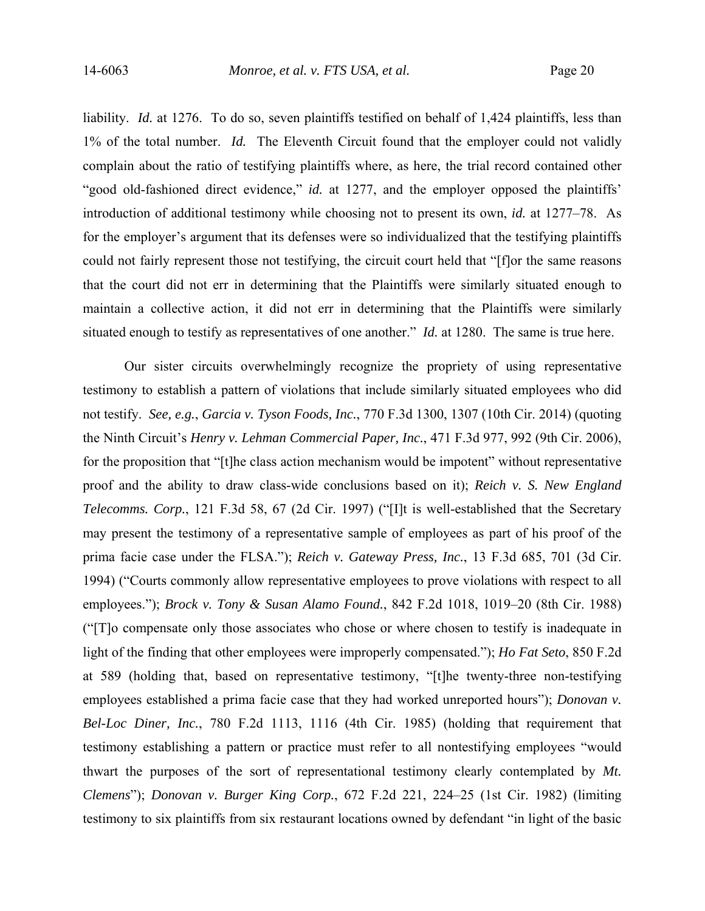liability. *Id.* at 1276. To do so, seven plaintiffs testified on behalf of 1,424 plaintiffs, less than 1% of the total number. *Id.* The Eleventh Circuit found that the employer could not validly complain about the ratio of testifying plaintiffs where, as here, the trial record contained other "good old-fashioned direct evidence," *id.* at 1277, and the employer opposed the plaintiffs' introduction of additional testimony while choosing not to present its own, *id.* at 1277–78. As for the employer's argument that its defenses were so individualized that the testifying plaintiffs could not fairly represent those not testifying, the circuit court held that "[f]or the same reasons that the court did not err in determining that the Plaintiffs were similarly situated enough to maintain a collective action, it did not err in determining that the Plaintiffs were similarly situated enough to testify as representatives of one another." *Id.* at 1280. The same is true here.

Our sister circuits overwhelmingly recognize the propriety of using representative testimony to establish a pattern of violations that include similarly situated employees who did not testify. *See, e.g.*, *Garcia v. Tyson Foods, Inc.*, 770 F.3d 1300, 1307 (10th Cir. 2014) (quoting the Ninth Circuit's *Henry v. Lehman Commercial Paper, Inc.*, 471 F.3d 977, 992 (9th Cir. 2006), for the proposition that "[t]he class action mechanism would be impotent" without representative proof and the ability to draw class-wide conclusions based on it); *Reich v. S. New England Telecomms. Corp.*, 121 F.3d 58, 67 (2d Cir. 1997) ("[I]t is well-established that the Secretary may present the testimony of a representative sample of employees as part of his proof of the prima facie case under the FLSA."); *Reich v. Gateway Press, Inc.*, 13 F.3d 685, 701 (3d Cir. 1994) ("Courts commonly allow representative employees to prove violations with respect to all employees."); *Brock v. Tony & Susan Alamo Found.*, 842 F.2d 1018, 1019–20 (8th Cir. 1988) ("[T]o compensate only those associates who chose or where chosen to testify is inadequate in light of the finding that other employees were improperly compensated."); *Ho Fat Seto*, 850 F.2d at 589 (holding that, based on representative testimony, "[t]he twenty-three non-testifying employees established a prima facie case that they had worked unreported hours"); *Donovan v. Bel-Loc Diner, Inc.*, 780 F.2d 1113, 1116 (4th Cir. 1985) (holding that requirement that testimony establishing a pattern or practice must refer to all nontestifying employees "would thwart the purposes of the sort of representational testimony clearly contemplated by *Mt. Clemens*"); *Donovan v. Burger King Corp.*, 672 F.2d 221, 224–25 (1st Cir. 1982) (limiting testimony to six plaintiffs from six restaurant locations owned by defendant "in light of the basic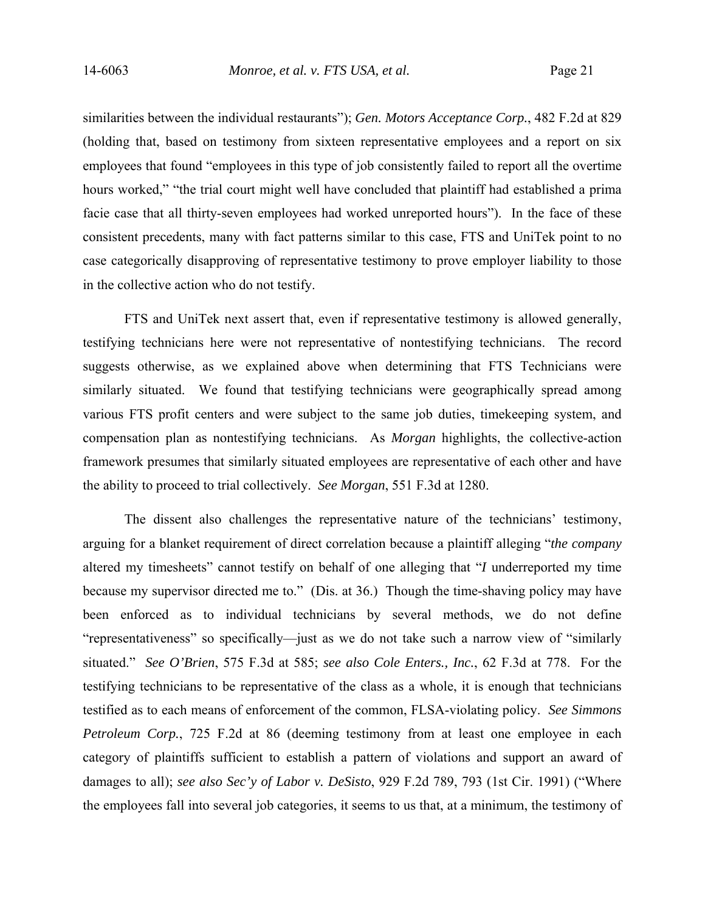similarities between the individual restaurants"); *Gen. Motors Acceptance Corp.*, 482 F.2d at 829 (holding that, based on testimony from sixteen representative employees and a report on six employees that found "employees in this type of job consistently failed to report all the overtime hours worked," "the trial court might well have concluded that plaintiff had established a prima facie case that all thirty-seven employees had worked unreported hours"). In the face of these consistent precedents, many with fact patterns similar to this case, FTS and UniTek point to no case categorically disapproving of representative testimony to prove employer liability to those in the collective action who do not testify.

FTS and UniTek next assert that, even if representative testimony is allowed generally, testifying technicians here were not representative of nontestifying technicians. The record suggests otherwise, as we explained above when determining that FTS Technicians were similarly situated. We found that testifying technicians were geographically spread among various FTS profit centers and were subject to the same job duties, timekeeping system, and compensation plan as nontestifying technicians. As *Morgan* highlights, the collective-action framework presumes that similarly situated employees are representative of each other and have the ability to proceed to trial collectively. *See Morgan*, 551 F.3d at 1280.

The dissent also challenges the representative nature of the technicians' testimony, arguing for a blanket requirement of direct correlation because a plaintiff alleging "*the company* altered my timesheets" cannot testify on behalf of one alleging that "*I* underreported my time because my supervisor directed me to." (Dis. at 36.) Though the time-shaving policy may have been enforced as to individual technicians by several methods, we do not define "representativeness" so specifically—just as we do not take such a narrow view of "similarly situated." *See O'Brien*, 575 F.3d at 585; *see also Cole Enters., Inc.*, 62 F.3d at 778. For the testifying technicians to be representative of the class as a whole, it is enough that technicians testified as to each means of enforcement of the common, FLSA-violating policy. *See Simmons Petroleum Corp.*, 725 F.2d at 86 (deeming testimony from at least one employee in each category of plaintiffs sufficient to establish a pattern of violations and support an award of damages to all); *see also Sec'y of Labor v. DeSisto*, 929 F.2d 789, 793 (1st Cir. 1991) ("Where the employees fall into several job categories, it seems to us that, at a minimum, the testimony of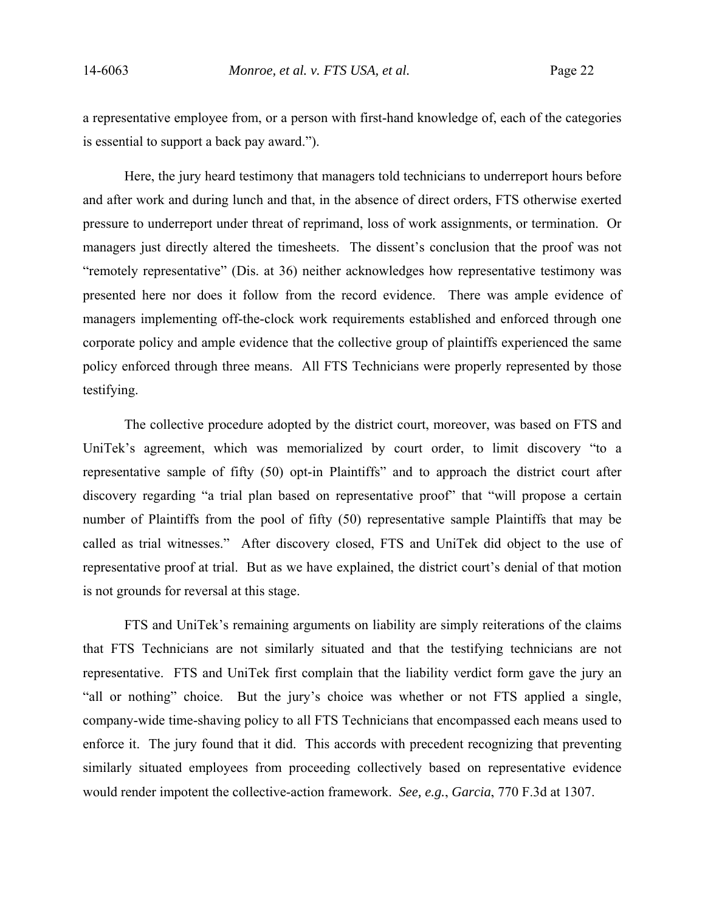a representative employee from, or a person with first-hand knowledge of, each of the categories is essential to support a back pay award.").

Here, the jury heard testimony that managers told technicians to underreport hours before and after work and during lunch and that, in the absence of direct orders, FTS otherwise exerted pressure to underreport under threat of reprimand, loss of work assignments, or termination. Or managers just directly altered the timesheets. The dissent's conclusion that the proof was not "remotely representative" (Dis. at 36) neither acknowledges how representative testimony was presented here nor does it follow from the record evidence. There was ample evidence of managers implementing off-the-clock work requirements established and enforced through one corporate policy and ample evidence that the collective group of plaintiffs experienced the same policy enforced through three means. All FTS Technicians were properly represented by those testifying.

The collective procedure adopted by the district court, moreover, was based on FTS and UniTek's agreement, which was memorialized by court order, to limit discovery "to a representative sample of fifty (50) opt-in Plaintiffs" and to approach the district court after discovery regarding "a trial plan based on representative proof" that "will propose a certain number of Plaintiffs from the pool of fifty (50) representative sample Plaintiffs that may be called as trial witnesses." After discovery closed, FTS and UniTek did object to the use of representative proof at trial. But as we have explained, the district court's denial of that motion is not grounds for reversal at this stage.

FTS and UniTek's remaining arguments on liability are simply reiterations of the claims that FTS Technicians are not similarly situated and that the testifying technicians are not representative. FTS and UniTek first complain that the liability verdict form gave the jury an "all or nothing" choice. But the jury's choice was whether or not FTS applied a single, company-wide time-shaving policy to all FTS Technicians that encompassed each means used to enforce it. The jury found that it did. This accords with precedent recognizing that preventing similarly situated employees from proceeding collectively based on representative evidence would render impotent the collective-action framework. *See, e.g.*, *Garcia*, 770 F.3d at 1307.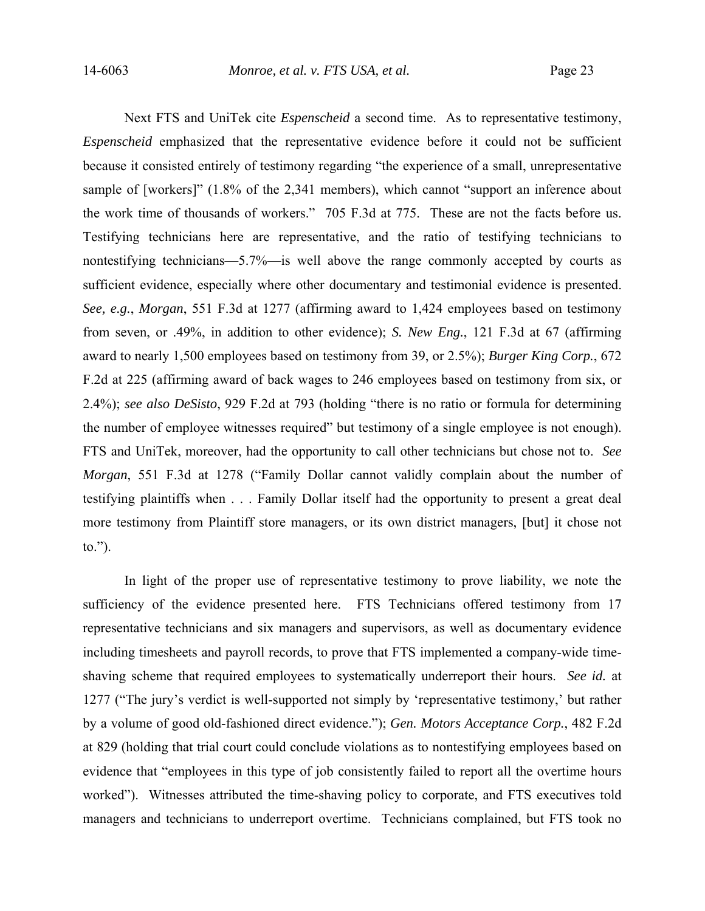Next FTS and UniTek cite *Espenscheid* a second time. As to representative testimony, *Espenscheid* emphasized that the representative evidence before it could not be sufficient because it consisted entirely of testimony regarding "the experience of a small, unrepresentative sample of [workers]" (1.8% of the 2,341 members), which cannot "support an inference about the work time of thousands of workers." 705 F.3d at 775. These are not the facts before us. Testifying technicians here are representative, and the ratio of testifying technicians to nontestifying technicians—5.7%—is well above the range commonly accepted by courts as sufficient evidence, especially where other documentary and testimonial evidence is presented. *See, e.g.*, *Morgan*, 551 F.3d at 1277 (affirming award to 1,424 employees based on testimony from seven, or .49%, in addition to other evidence); *S. New Eng.*, 121 F.3d at 67 (affirming award to nearly 1,500 employees based on testimony from 39, or 2.5%); *Burger King Corp.*, 672 F.2d at 225 (affirming award of back wages to 246 employees based on testimony from six, or 2.4%); *see also DeSisto*, 929 F.2d at 793 (holding "there is no ratio or formula for determining the number of employee witnesses required" but testimony of a single employee is not enough). FTS and UniTek, moreover, had the opportunity to call other technicians but chose not to. *See Morgan*, 551 F.3d at 1278 ("Family Dollar cannot validly complain about the number of testifying plaintiffs when . . . Family Dollar itself had the opportunity to present a great deal more testimony from Plaintiff store managers, or its own district managers, [but] it chose not to.").

In light of the proper use of representative testimony to prove liability, we note the sufficiency of the evidence presented here. FTS Technicians offered testimony from 17 representative technicians and six managers and supervisors, as well as documentary evidence including timesheets and payroll records, to prove that FTS implemented a company-wide timeshaving scheme that required employees to systematically underreport their hours. *See id.* at 1277 ("The jury's verdict is well-supported not simply by 'representative testimony,' but rather by a volume of good old-fashioned direct evidence."); *Gen. Motors Acceptance Corp.*, 482 F.2d at 829 (holding that trial court could conclude violations as to nontestifying employees based on evidence that "employees in this type of job consistently failed to report all the overtime hours worked"). Witnesses attributed the time-shaving policy to corporate, and FTS executives told managers and technicians to underreport overtime. Technicians complained, but FTS took no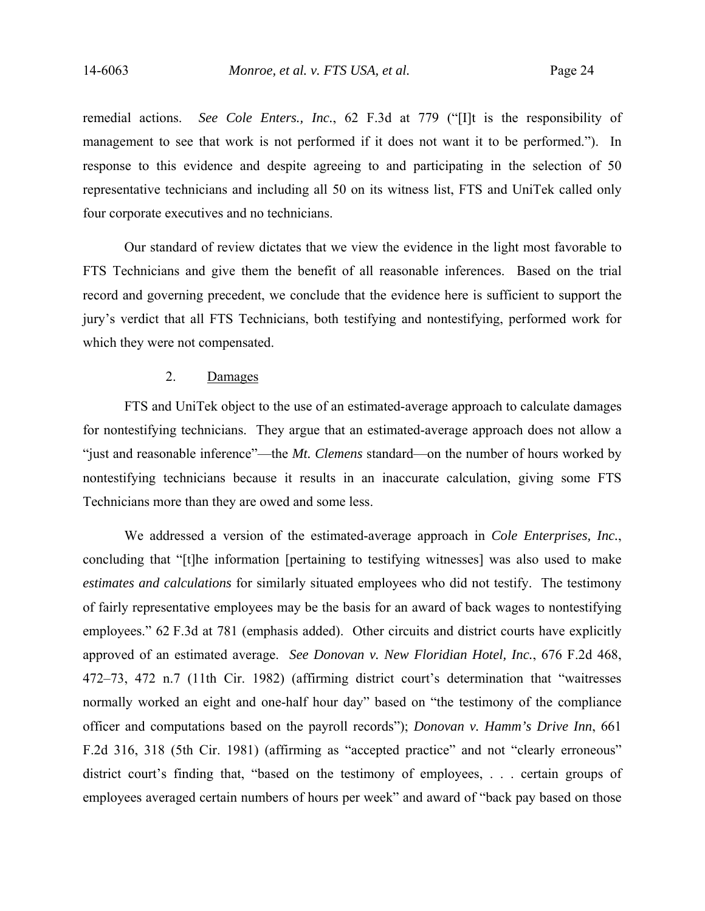remedial actions. *See Cole Enters., Inc.*, 62 F.3d at 779 ("[I]t is the responsibility of management to see that work is not performed if it does not want it to be performed."). In response to this evidence and despite agreeing to and participating in the selection of 50 representative technicians and including all 50 on its witness list, FTS and UniTek called only four corporate executives and no technicians.

Our standard of review dictates that we view the evidence in the light most favorable to FTS Technicians and give them the benefit of all reasonable inferences. Based on the trial record and governing precedent, we conclude that the evidence here is sufficient to support the jury's verdict that all FTS Technicians, both testifying and nontestifying, performed work for which they were not compensated.

## 2. Damages

FTS and UniTek object to the use of an estimated-average approach to calculate damages for nontestifying technicians. They argue that an estimated-average approach does not allow a "just and reasonable inference"—the *Mt. Clemens* standard—on the number of hours worked by nontestifying technicians because it results in an inaccurate calculation, giving some FTS Technicians more than they are owed and some less.

We addressed a version of the estimated-average approach in *Cole Enterprises, Inc.*, concluding that "[t]he information [pertaining to testifying witnesses] was also used to make *estimates and calculations* for similarly situated employees who did not testify. The testimony of fairly representative employees may be the basis for an award of back wages to nontestifying employees." 62 F.3d at 781 (emphasis added). Other circuits and district courts have explicitly approved of an estimated average. *See Donovan v. New Floridian Hotel, Inc.*, 676 F.2d 468, 472–73, 472 n.7 (11th Cir. 1982) (affirming district court's determination that "waitresses normally worked an eight and one-half hour day" based on "the testimony of the compliance officer and computations based on the payroll records"); *Donovan v. Hamm's Drive Inn*, 661 F.2d 316, 318 (5th Cir. 1981) (affirming as "accepted practice" and not "clearly erroneous" district court's finding that, "based on the testimony of employees, . . . certain groups of employees averaged certain numbers of hours per week" and award of "back pay based on those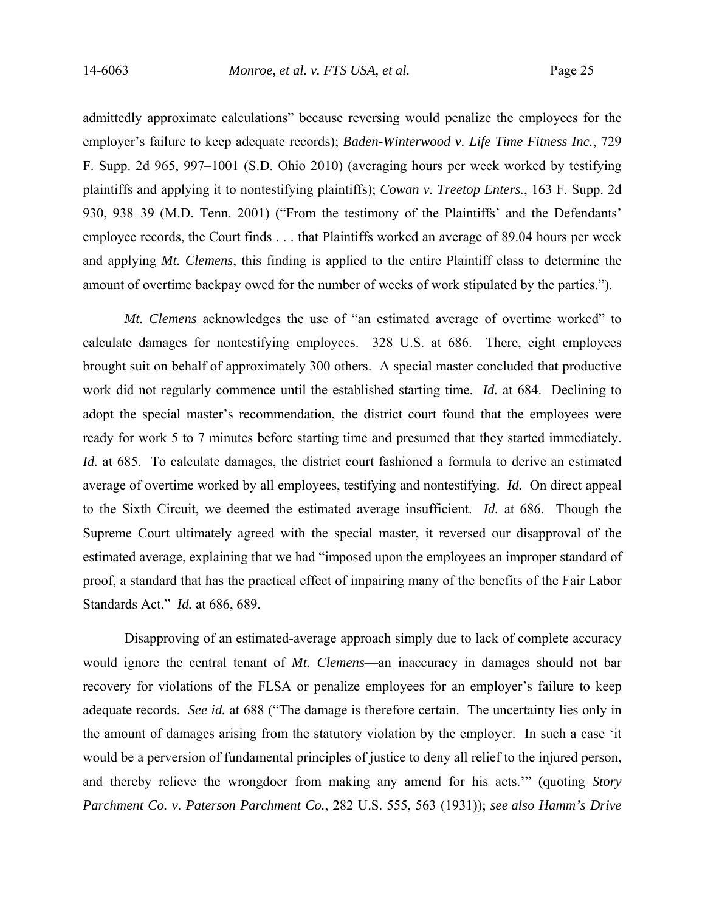admittedly approximate calculations" because reversing would penalize the employees for the employer's failure to keep adequate records); *Baden-Winterwood v. Life Time Fitness Inc.*, 729 F. Supp. 2d 965, 997–1001 (S.D. Ohio 2010) (averaging hours per week worked by testifying plaintiffs and applying it to nontestifying plaintiffs); *Cowan v. Treetop Enters.*, 163 F. Supp. 2d 930, 938–39 (M.D. Tenn. 2001) ("From the testimony of the Plaintiffs' and the Defendants' employee records, the Court finds . . . that Plaintiffs worked an average of 89.04 hours per week and applying *Mt. Clemens*, this finding is applied to the entire Plaintiff class to determine the amount of overtime backpay owed for the number of weeks of work stipulated by the parties.").

*Mt. Clemens* acknowledges the use of "an estimated average of overtime worked" to calculate damages for nontestifying employees. 328 U.S. at 686. There, eight employees brought suit on behalf of approximately 300 others. A special master concluded that productive work did not regularly commence until the established starting time. *Id.* at 684. Declining to adopt the special master's recommendation, the district court found that the employees were ready for work 5 to 7 minutes before starting time and presumed that they started immediately. *Id.* at 685. To calculate damages, the district court fashioned a formula to derive an estimated average of overtime worked by all employees, testifying and nontestifying. *Id.* On direct appeal to the Sixth Circuit, we deemed the estimated average insufficient. *Id.* at 686. Though the Supreme Court ultimately agreed with the special master, it reversed our disapproval of the estimated average, explaining that we had "imposed upon the employees an improper standard of proof, a standard that has the practical effect of impairing many of the benefits of the Fair Labor Standards Act." *Id.* at 686, 689.

Disapproving of an estimated-average approach simply due to lack of complete accuracy would ignore the central tenant of *Mt. Clemens*—an inaccuracy in damages should not bar recovery for violations of the FLSA or penalize employees for an employer's failure to keep adequate records. *See id.* at 688 ("The damage is therefore certain. The uncertainty lies only in the amount of damages arising from the statutory violation by the employer. In such a case 'it would be a perversion of fundamental principles of justice to deny all relief to the injured person, and thereby relieve the wrongdoer from making any amend for his acts.'" (quoting *Story Parchment Co. v. Paterson Parchment Co.*, 282 U.S. 555, 563 (1931)); *see also Hamm's Drive*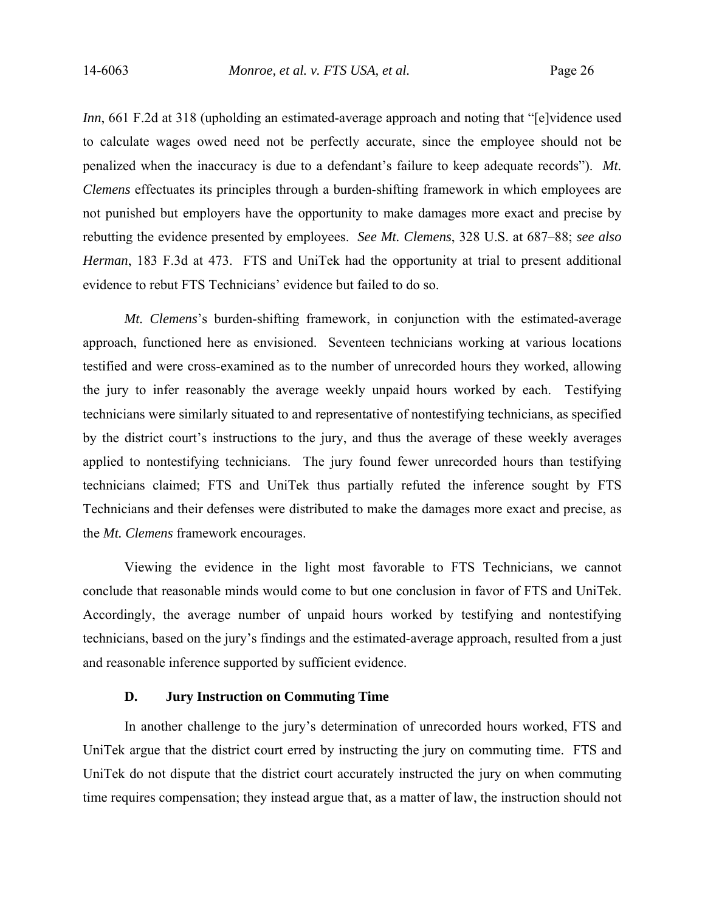*Inn*, 661 F.2d at 318 (upholding an estimated-average approach and noting that "[e]vidence used to calculate wages owed need not be perfectly accurate, since the employee should not be penalized when the inaccuracy is due to a defendant's failure to keep adequate records"). *Mt. Clemens* effectuates its principles through a burden-shifting framework in which employees are not punished but employers have the opportunity to make damages more exact and precise by rebutting the evidence presented by employees. *See Mt. Clemens*, 328 U.S. at 687–88; *see also Herman*, 183 F.3d at 473. FTS and UniTek had the opportunity at trial to present additional evidence to rebut FTS Technicians' evidence but failed to do so.

*Mt. Clemens*'s burden-shifting framework, in conjunction with the estimated-average approach, functioned here as envisioned. Seventeen technicians working at various locations testified and were cross-examined as to the number of unrecorded hours they worked, allowing the jury to infer reasonably the average weekly unpaid hours worked by each. Testifying technicians were similarly situated to and representative of nontestifying technicians, as specified by the district court's instructions to the jury, and thus the average of these weekly averages applied to nontestifying technicians. The jury found fewer unrecorded hours than testifying technicians claimed; FTS and UniTek thus partially refuted the inference sought by FTS Technicians and their defenses were distributed to make the damages more exact and precise, as the *Mt. Clemens* framework encourages.

Viewing the evidence in the light most favorable to FTS Technicians, we cannot conclude that reasonable minds would come to but one conclusion in favor of FTS and UniTek. Accordingly, the average number of unpaid hours worked by testifying and nontestifying technicians, based on the jury's findings and the estimated-average approach, resulted from a just and reasonable inference supported by sufficient evidence.

# **D. Jury Instruction on Commuting Time**

In another challenge to the jury's determination of unrecorded hours worked, FTS and UniTek argue that the district court erred by instructing the jury on commuting time. FTS and UniTek do not dispute that the district court accurately instructed the jury on when commuting time requires compensation; they instead argue that, as a matter of law, the instruction should not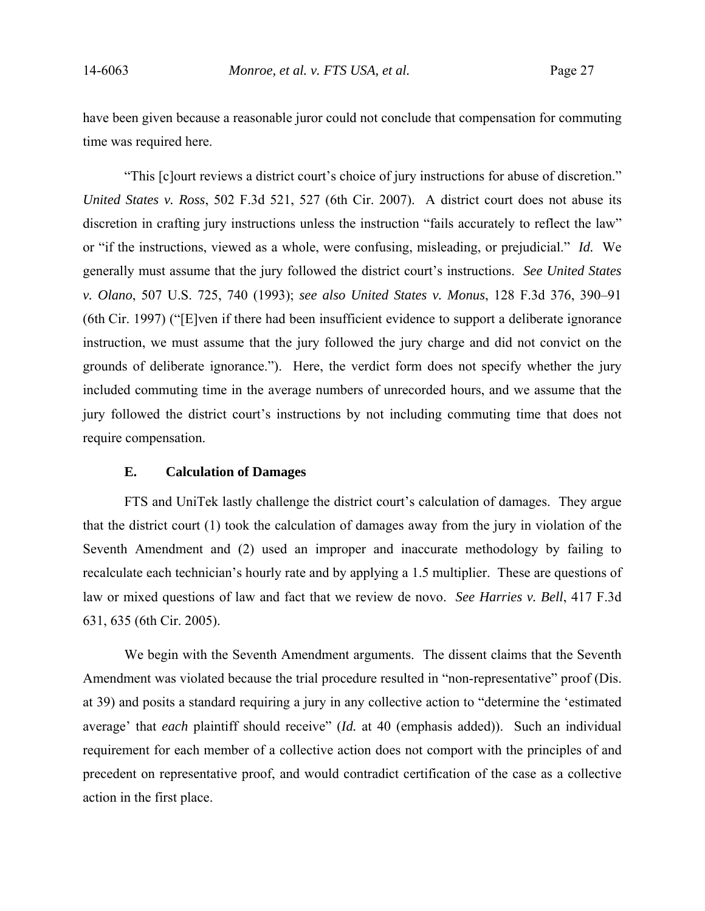have been given because a reasonable juror could not conclude that compensation for commuting time was required here.

"This [c]ourt reviews a district court's choice of jury instructions for abuse of discretion." *United States v. Ross*, 502 F.3d 521, 527 (6th Cir. 2007). A district court does not abuse its discretion in crafting jury instructions unless the instruction "fails accurately to reflect the law" or "if the instructions, viewed as a whole, were confusing, misleading, or prejudicial." *Id.* We generally must assume that the jury followed the district court's instructions. *See United States v. Olano*, 507 U.S. 725, 740 (1993); *see also United States v. Monus*, 128 F.3d 376, 390–91 (6th Cir. 1997) ("[E]ven if there had been insufficient evidence to support a deliberate ignorance instruction, we must assume that the jury followed the jury charge and did not convict on the grounds of deliberate ignorance."). Here, the verdict form does not specify whether the jury included commuting time in the average numbers of unrecorded hours, and we assume that the jury followed the district court's instructions by not including commuting time that does not require compensation.

## **E. Calculation of Damages**

FTS and UniTek lastly challenge the district court's calculation of damages. They argue that the district court (1) took the calculation of damages away from the jury in violation of the Seventh Amendment and (2) used an improper and inaccurate methodology by failing to recalculate each technician's hourly rate and by applying a 1.5 multiplier. These are questions of law or mixed questions of law and fact that we review de novo. *See Harries v. Bell*, 417 F.3d 631, 635 (6th Cir. 2005).

We begin with the Seventh Amendment arguments. The dissent claims that the Seventh Amendment was violated because the trial procedure resulted in "non-representative" proof (Dis. at 39) and posits a standard requiring a jury in any collective action to "determine the 'estimated average' that *each* plaintiff should receive" (*Id.* at 40 (emphasis added)). Such an individual requirement for each member of a collective action does not comport with the principles of and precedent on representative proof, and would contradict certification of the case as a collective action in the first place.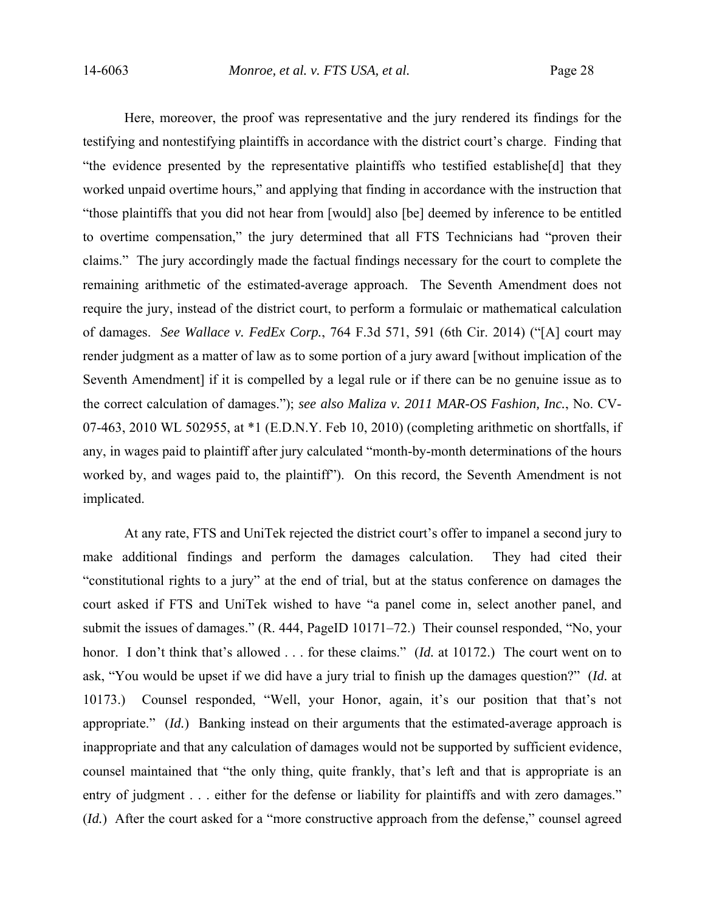Here, moreover, the proof was representative and the jury rendered its findings for the testifying and nontestifying plaintiffs in accordance with the district court's charge. Finding that "the evidence presented by the representative plaintiffs who testified establishe[d] that they worked unpaid overtime hours," and applying that finding in accordance with the instruction that "those plaintiffs that you did not hear from [would] also [be] deemed by inference to be entitled to overtime compensation," the jury determined that all FTS Technicians had "proven their claims." The jury accordingly made the factual findings necessary for the court to complete the remaining arithmetic of the estimated-average approach. The Seventh Amendment does not require the jury, instead of the district court, to perform a formulaic or mathematical calculation of damages. *See Wallace v. FedEx Corp.*, 764 F.3d 571, 591 (6th Cir. 2014) ("[A] court may render judgment as a matter of law as to some portion of a jury award [without implication of the Seventh Amendment] if it is compelled by a legal rule or if there can be no genuine issue as to the correct calculation of damages."); *see also Maliza v. 2011 MAR-OS Fashion, Inc.*, No. CV-07-463, 2010 WL 502955, at \*1 (E.D.N.Y. Feb 10, 2010) (completing arithmetic on shortfalls, if any, in wages paid to plaintiff after jury calculated "month-by-month determinations of the hours worked by, and wages paid to, the plaintiff"). On this record, the Seventh Amendment is not implicated.

At any rate, FTS and UniTek rejected the district court's offer to impanel a second jury to make additional findings and perform the damages calculation. They had cited their "constitutional rights to a jury" at the end of trial, but at the status conference on damages the court asked if FTS and UniTek wished to have "a panel come in, select another panel, and submit the issues of damages." (R. 444, PageID 10171–72.) Their counsel responded, "No, your honor. I don't think that's allowed . . . for these claims." *(Id.* at 10172.) The court went on to ask, "You would be upset if we did have a jury trial to finish up the damages question?" (*Id.* at 10173.) Counsel responded, "Well, your Honor, again, it's our position that that's not appropriate." (*Id.*) Banking instead on their arguments that the estimated-average approach is inappropriate and that any calculation of damages would not be supported by sufficient evidence, counsel maintained that "the only thing, quite frankly, that's left and that is appropriate is an entry of judgment . . . either for the defense or liability for plaintiffs and with zero damages." (*Id.*) After the court asked for a "more constructive approach from the defense," counsel agreed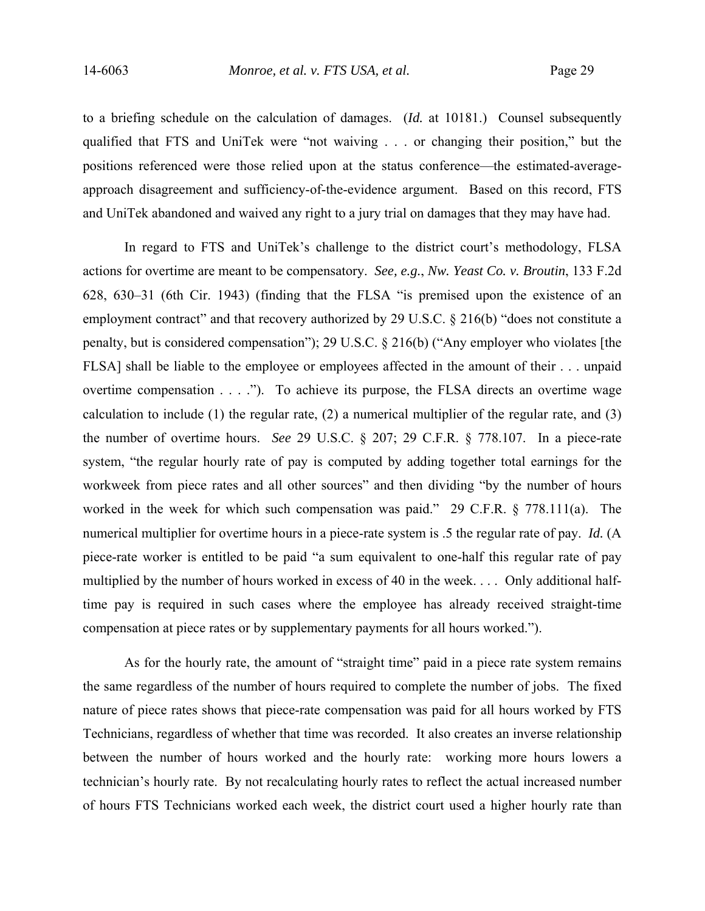to a briefing schedule on the calculation of damages. (*Id.* at 10181.) Counsel subsequently qualified that FTS and UniTek were "not waiving . . . or changing their position," but the positions referenced were those relied upon at the status conference—the estimated-averageapproach disagreement and sufficiency-of-the-evidence argument. Based on this record, FTS and UniTek abandoned and waived any right to a jury trial on damages that they may have had.

In regard to FTS and UniTek's challenge to the district court's methodology, FLSA actions for overtime are meant to be compensatory. *See, e.g.*, *Nw. Yeast Co. v. Broutin*, 133 F.2d 628, 630–31 (6th Cir. 1943) (finding that the FLSA "is premised upon the existence of an employment contract" and that recovery authorized by 29 U.S.C.  $\S$  216(b) "does not constitute a penalty, but is considered compensation"); 29 U.S.C. § 216(b) ("Any employer who violates [the FLSA] shall be liable to the employee or employees affected in the amount of their . . . unpaid overtime compensation . . . ."). To achieve its purpose, the FLSA directs an overtime wage calculation to include (1) the regular rate, (2) a numerical multiplier of the regular rate, and (3) the number of overtime hours. *See* 29 U.S.C. § 207; 29 C.F.R. § 778.107. In a piece-rate system, "the regular hourly rate of pay is computed by adding together total earnings for the workweek from piece rates and all other sources" and then dividing "by the number of hours worked in the week for which such compensation was paid." 29 C.F.R. § 778.111(a). The numerical multiplier for overtime hours in a piece-rate system is .5 the regular rate of pay. *Id.* (A piece-rate worker is entitled to be paid "a sum equivalent to one-half this regular rate of pay multiplied by the number of hours worked in excess of 40 in the week. . . . Only additional halftime pay is required in such cases where the employee has already received straight-time compensation at piece rates or by supplementary payments for all hours worked.").

As for the hourly rate, the amount of "straight time" paid in a piece rate system remains the same regardless of the number of hours required to complete the number of jobs. The fixed nature of piece rates shows that piece-rate compensation was paid for all hours worked by FTS Technicians, regardless of whether that time was recorded. It also creates an inverse relationship between the number of hours worked and the hourly rate: working more hours lowers a technician's hourly rate. By not recalculating hourly rates to reflect the actual increased number of hours FTS Technicians worked each week, the district court used a higher hourly rate than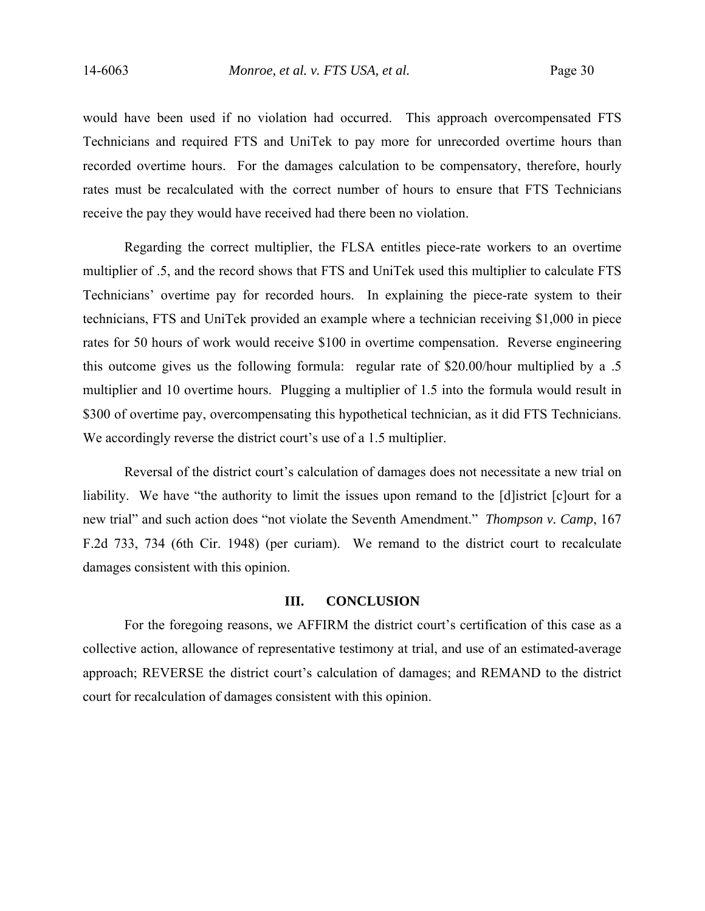would have been used if no violation had occurred. This approach overcompensated FTS Technicians and required FTS and UniTek to pay more for unrecorded overtime hours than recorded overtime hours. For the damages calculation to be compensatory, therefore, hourly rates must be recalculated with the correct number of hours to ensure that FTS Technicians receive the pay they would have received had there been no violation.

Regarding the correct multiplier, the FLSA entitles piece-rate workers to an overtime multiplier of .5, and the record shows that FTS and UniTek used this multiplier to calculate FTS Technicians' overtime pay for recorded hours. In explaining the piece-rate system to their technicians, FTS and UniTek provided an example where a technician receiving \$1,000 in piece rates for 50 hours of work would receive \$100 in overtime compensation. Reverse engineering this outcome gives us the following formula: regular rate of \$20.00/hour multiplied by a .5 multiplier and 10 overtime hours. Plugging a multiplier of 1.5 into the formula would result in \$300 of overtime pay, overcompensating this hypothetical technician, as it did FTS Technicians. We accordingly reverse the district court's use of a 1.5 multiplier.

Reversal of the district court's calculation of damages does not necessitate a new trial on liability. We have "the authority to limit the issues upon remand to the [d]istrict [c]ourt for a new trial" and such action does "not violate the Seventh Amendment." *Thompson v. Camp*, 167 F.2d 733, 734 (6th Cir. 1948) (per curiam). We remand to the district court to recalculate damages consistent with this opinion.

## **III. CONCLUSION**

 For the foregoing reasons, we AFFIRM the district court's certification of this case as a collective action, allowance of representative testimony at trial, and use of an estimated-average approach; REVERSE the district court's calculation of damages; and REMAND to the district court for recalculation of damages consistent with this opinion.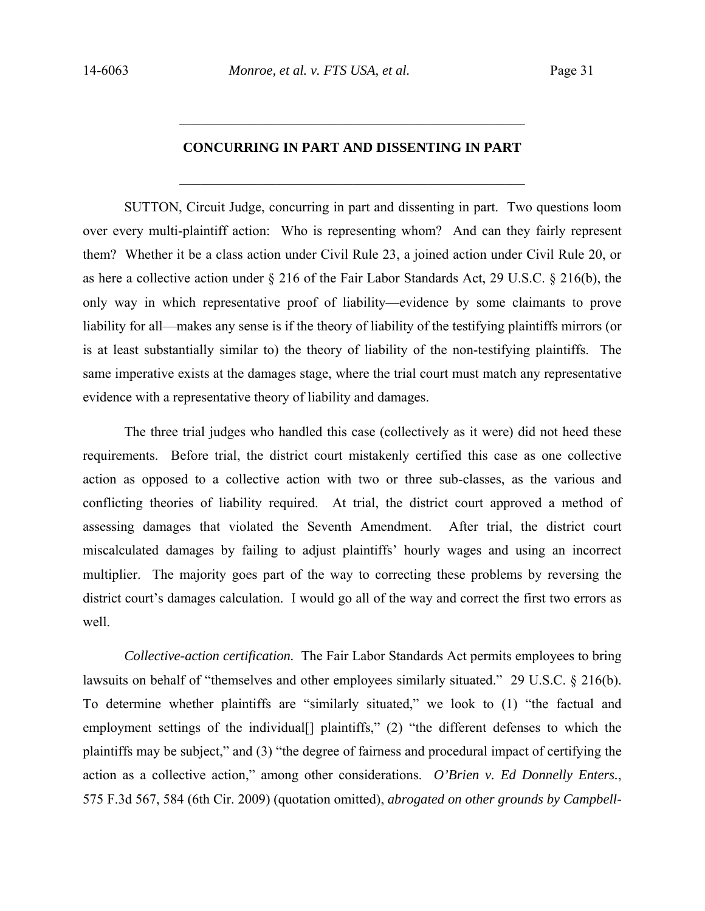# **CONCURRING IN PART AND DISSENTING IN PART**

 $\_$  , and the set of the set of the set of the set of the set of the set of the set of the set of the set of the set of the set of the set of the set of the set of the set of the set of the set of the set of the set of th

 $\mathcal{L}_\text{max}$  , and the set of the set of the set of the set of the set of the set of the set of the set of the set of the set of the set of the set of the set of the set of the set of the set of the set of the set of the

SUTTON, Circuit Judge, concurring in part and dissenting in part. Two questions loom over every multi-plaintiff action: Who is representing whom? And can they fairly represent them? Whether it be a class action under Civil Rule 23, a joined action under Civil Rule 20, or as here a collective action under § 216 of the Fair Labor Standards Act, 29 U.S.C. § 216(b), the only way in which representative proof of liability—evidence by some claimants to prove liability for all—makes any sense is if the theory of liability of the testifying plaintiffs mirrors (or is at least substantially similar to) the theory of liability of the non-testifying plaintiffs. The same imperative exists at the damages stage, where the trial court must match any representative evidence with a representative theory of liability and damages.

The three trial judges who handled this case (collectively as it were) did not heed these requirements. Before trial, the district court mistakenly certified this case as one collective action as opposed to a collective action with two or three sub-classes, as the various and conflicting theories of liability required. At trial, the district court approved a method of assessing damages that violated the Seventh Amendment. After trial, the district court miscalculated damages by failing to adjust plaintiffs' hourly wages and using an incorrect multiplier. The majority goes part of the way to correcting these problems by reversing the district court's damages calculation. I would go all of the way and correct the first two errors as well.

*Collective-action certification.* The Fair Labor Standards Act permits employees to bring lawsuits on behalf of "themselves and other employees similarly situated." 29 U.S.C. § 216(b). To determine whether plaintiffs are "similarly situated," we look to (1) "the factual and employment settings of the individual [] plaintiffs," (2) "the different defenses to which the plaintiffs may be subject," and (3) "the degree of fairness and procedural impact of certifying the action as a collective action," among other considerations. *O'Brien v. Ed Donnelly Enters.*, 575 F.3d 567, 584 (6th Cir. 2009) (quotation omitted), *abrogated on other grounds by Campbell-*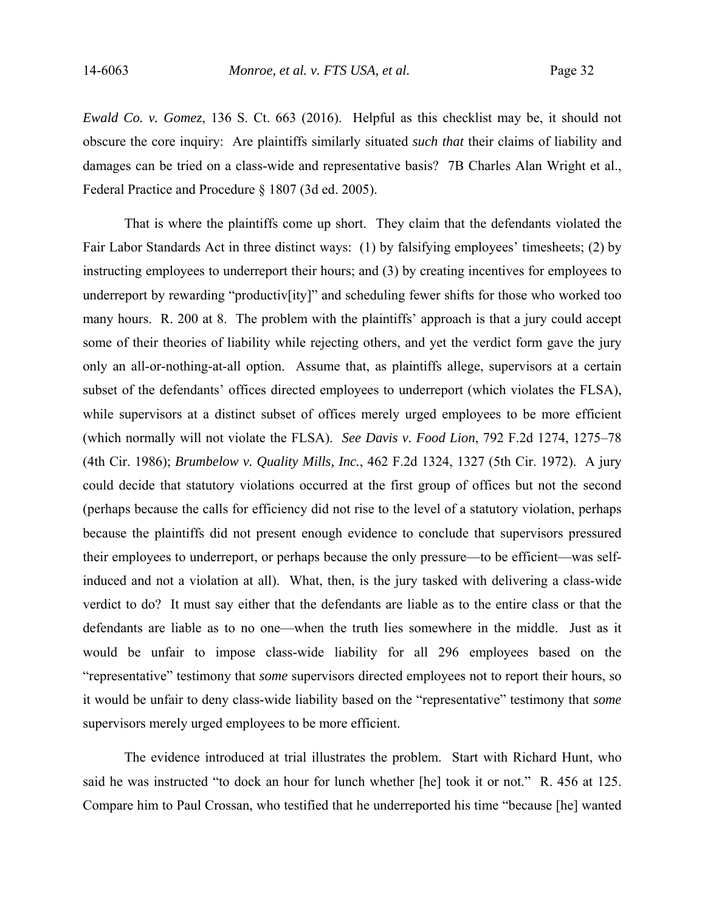*Ewald Co. v. Gomez*, 136 S. Ct. 663 (2016). Helpful as this checklist may be, it should not obscure the core inquiry: Are plaintiffs similarly situated *such that* their claims of liability and damages can be tried on a class-wide and representative basis? 7B Charles Alan Wright et al., Federal Practice and Procedure § 1807 (3d ed. 2005).

That is where the plaintiffs come up short. They claim that the defendants violated the Fair Labor Standards Act in three distinct ways: (1) by falsifying employees' timesheets; (2) by instructing employees to underreport their hours; and (3) by creating incentives for employees to underreport by rewarding "productiv[ity]" and scheduling fewer shifts for those who worked too many hours. R. 200 at 8. The problem with the plaintiffs' approach is that a jury could accept some of their theories of liability while rejecting others, and yet the verdict form gave the jury only an all-or-nothing-at-all option. Assume that, as plaintiffs allege, supervisors at a certain subset of the defendants' offices directed employees to underreport (which violates the FLSA), while supervisors at a distinct subset of offices merely urged employees to be more efficient (which normally will not violate the FLSA). *See Davis v. Food Lion*, 792 F.2d 1274, 1275–78 (4th Cir. 1986); *Brumbelow v. Quality Mills, Inc.*, 462 F.2d 1324, 1327 (5th Cir. 1972). A jury could decide that statutory violations occurred at the first group of offices but not the second (perhaps because the calls for efficiency did not rise to the level of a statutory violation, perhaps because the plaintiffs did not present enough evidence to conclude that supervisors pressured their employees to underreport, or perhaps because the only pressure—to be efficient—was selfinduced and not a violation at all). What, then, is the jury tasked with delivering a class-wide verdict to do? It must say either that the defendants are liable as to the entire class or that the defendants are liable as to no one—when the truth lies somewhere in the middle. Just as it would be unfair to impose class-wide liability for all 296 employees based on the "representative" testimony that *some* supervisors directed employees not to report their hours, so it would be unfair to deny class-wide liability based on the "representative" testimony that *some*  supervisors merely urged employees to be more efficient.

The evidence introduced at trial illustrates the problem. Start with Richard Hunt, who said he was instructed "to dock an hour for lunch whether [he] took it or not." R. 456 at 125. Compare him to Paul Crossan, who testified that he underreported his time "because [he] wanted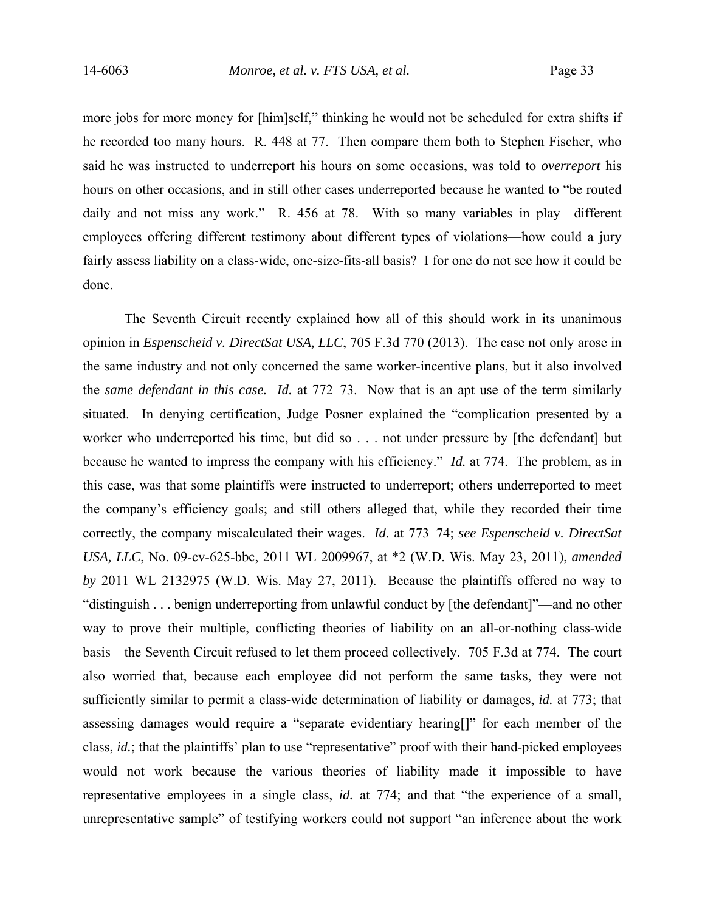more jobs for more money for [him]self," thinking he would not be scheduled for extra shifts if he recorded too many hours. R. 448 at 77. Then compare them both to Stephen Fischer, who said he was instructed to underreport his hours on some occasions, was told to *overreport* his hours on other occasions, and in still other cases underreported because he wanted to "be routed daily and not miss any work." R. 456 at 78. With so many variables in play—different employees offering different testimony about different types of violations—how could a jury fairly assess liability on a class-wide, one-size-fits-all basis? I for one do not see how it could be done.

The Seventh Circuit recently explained how all of this should work in its unanimous opinion in *Espenscheid v. DirectSat USA, LLC*, 705 F.3d 770 (2013). The case not only arose in the same industry and not only concerned the same worker-incentive plans, but it also involved the *same defendant in this case. Id.* at 772–73. Now that is an apt use of the term similarly situated. In denying certification, Judge Posner explained the "complication presented by a worker who underreported his time, but did so . . . not under pressure by [the defendant] but because he wanted to impress the company with his efficiency." *Id.* at 774. The problem, as in this case, was that some plaintiffs were instructed to underreport; others underreported to meet the company's efficiency goals; and still others alleged that, while they recorded their time correctly, the company miscalculated their wages. *Id.* at 773–74; *see Espenscheid v. DirectSat USA, LLC*, No. 09-cv-625-bbc, 2011 WL 2009967, at \*2 (W.D. Wis. May 23, 2011), *amended by* 2011 WL 2132975 (W.D. Wis. May 27, 2011). Because the plaintiffs offered no way to "distinguish . . . benign underreporting from unlawful conduct by [the defendant]"—and no other way to prove their multiple, conflicting theories of liability on an all-or-nothing class-wide basis—the Seventh Circuit refused to let them proceed collectively. 705 F.3d at 774. The court also worried that, because each employee did not perform the same tasks, they were not sufficiently similar to permit a class-wide determination of liability or damages, *id.* at 773; that assessing damages would require a "separate evidentiary hearing[]" for each member of the class, *id.*; that the plaintiffs' plan to use "representative" proof with their hand-picked employees would not work because the various theories of liability made it impossible to have representative employees in a single class, *id.* at 774; and that "the experience of a small, unrepresentative sample" of testifying workers could not support "an inference about the work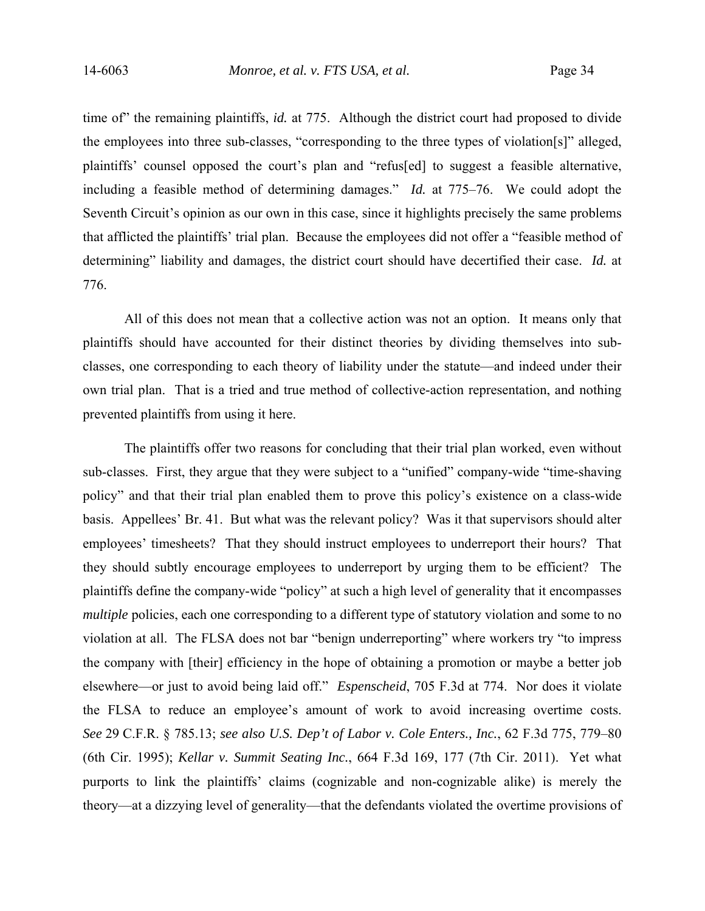time of" the remaining plaintiffs, *id.* at 775. Although the district court had proposed to divide the employees into three sub-classes, "corresponding to the three types of violation[s]" alleged, plaintiffs' counsel opposed the court's plan and "refus[ed] to suggest a feasible alternative, including a feasible method of determining damages." *Id.* at 775–76. We could adopt the Seventh Circuit's opinion as our own in this case, since it highlights precisely the same problems that afflicted the plaintiffs' trial plan. Because the employees did not offer a "feasible method of determining" liability and damages, the district court should have decertified their case. *Id.* at 776.

All of this does not mean that a collective action was not an option. It means only that plaintiffs should have accounted for their distinct theories by dividing themselves into subclasses, one corresponding to each theory of liability under the statute—and indeed under their own trial plan. That is a tried and true method of collective-action representation, and nothing prevented plaintiffs from using it here.

The plaintiffs offer two reasons for concluding that their trial plan worked, even without sub-classes. First, they argue that they were subject to a "unified" company-wide "time-shaving policy" and that their trial plan enabled them to prove this policy's existence on a class-wide basis. Appellees' Br. 41. But what was the relevant policy? Was it that supervisors should alter employees' timesheets? That they should instruct employees to underreport their hours? That they should subtly encourage employees to underreport by urging them to be efficient? The plaintiffs define the company-wide "policy" at such a high level of generality that it encompasses *multiple* policies, each one corresponding to a different type of statutory violation and some to no violation at all. The FLSA does not bar "benign underreporting" where workers try "to impress the company with [their] efficiency in the hope of obtaining a promotion or maybe a better job elsewhere—or just to avoid being laid off." *Espenscheid*, 705 F.3d at 774. Nor does it violate the FLSA to reduce an employee's amount of work to avoid increasing overtime costs. *See* 29 C.F.R. § 785.13; *see also U.S. Dep't of Labor v. Cole Enters., Inc.*, 62 F.3d 775, 779–80 (6th Cir. 1995); *Kellar v. Summit Seating Inc.*, 664 F.3d 169, 177 (7th Cir. 2011). Yet what purports to link the plaintiffs' claims (cognizable and non-cognizable alike) is merely the theory—at a dizzying level of generality—that the defendants violated the overtime provisions of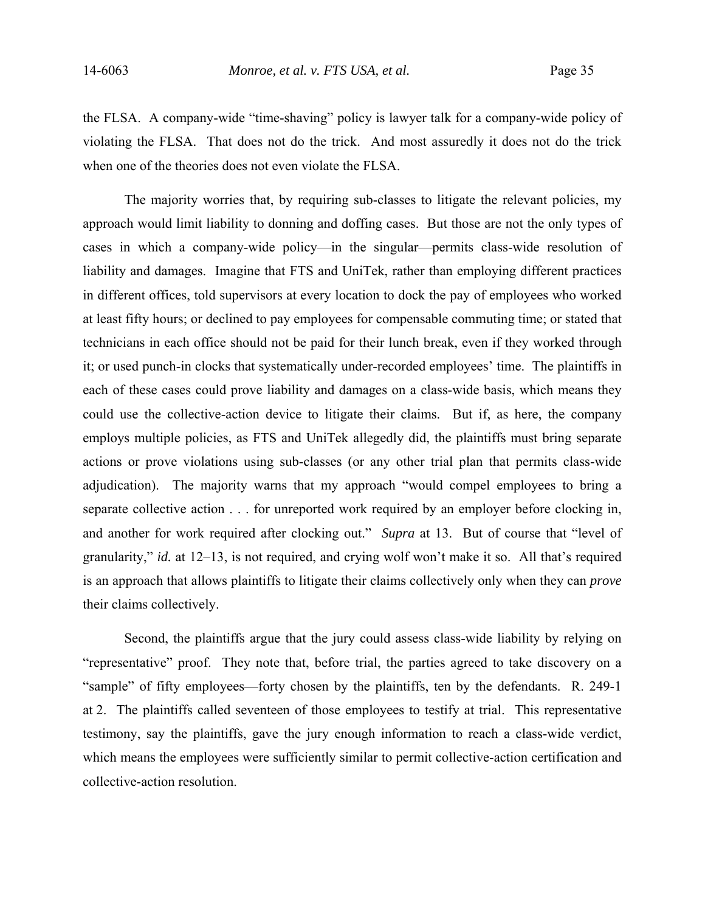the FLSA. A company-wide "time-shaving" policy is lawyer talk for a company-wide policy of violating the FLSA. That does not do the trick. And most assuredly it does not do the trick when one of the theories does not even violate the FLSA.

The majority worries that, by requiring sub-classes to litigate the relevant policies, my approach would limit liability to donning and doffing cases. But those are not the only types of cases in which a company-wide policy—in the singular—permits class-wide resolution of liability and damages. Imagine that FTS and UniTek, rather than employing different practices in different offices, told supervisors at every location to dock the pay of employees who worked at least fifty hours; or declined to pay employees for compensable commuting time; or stated that technicians in each office should not be paid for their lunch break, even if they worked through it; or used punch-in clocks that systematically under-recorded employees' time. The plaintiffs in each of these cases could prove liability and damages on a class-wide basis, which means they could use the collective-action device to litigate their claims. But if, as here, the company employs multiple policies, as FTS and UniTek allegedly did, the plaintiffs must bring separate actions or prove violations using sub-classes (or any other trial plan that permits class-wide adjudication). The majority warns that my approach "would compel employees to bring a separate collective action . . . for unreported work required by an employer before clocking in, and another for work required after clocking out." *Supra* at 13. But of course that "level of granularity," *id.* at 12–13, is not required, and crying wolf won't make it so. All that's required is an approach that allows plaintiffs to litigate their claims collectively only when they can *prove* their claims collectively.

 Second, the plaintiffs argue that the jury could assess class-wide liability by relying on "representative" proof. They note that, before trial, the parties agreed to take discovery on a "sample" of fifty employees—forty chosen by the plaintiffs, ten by the defendants. R. 249-1 at 2. The plaintiffs called seventeen of those employees to testify at trial. This representative testimony, say the plaintiffs, gave the jury enough information to reach a class-wide verdict, which means the employees were sufficiently similar to permit collective-action certification and collective-action resolution.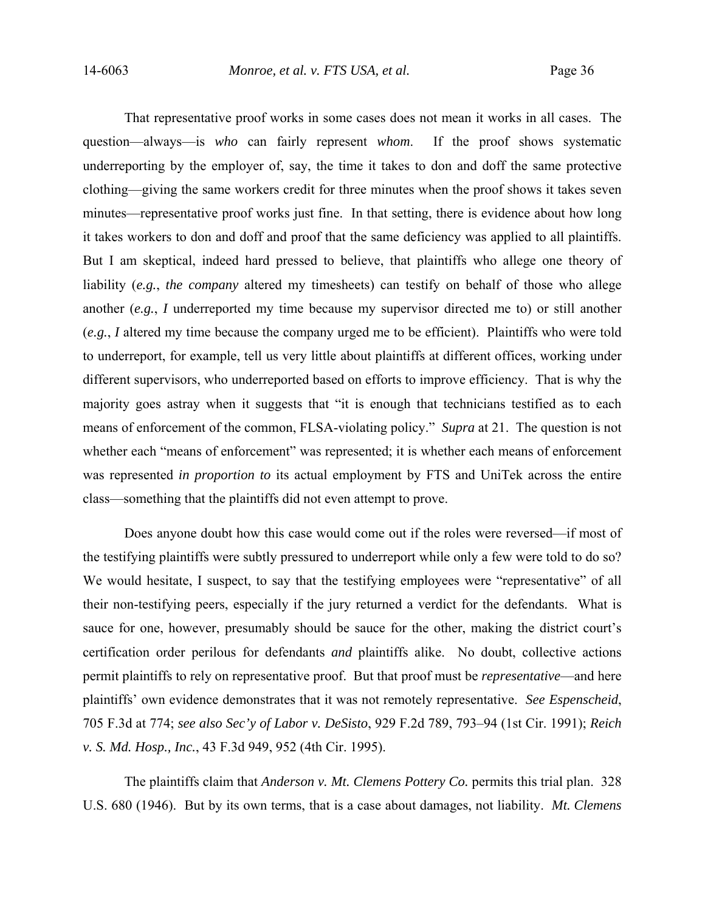That representative proof works in some cases does not mean it works in all cases. The question—always—is *who* can fairly represent *whom*. If the proof shows systematic underreporting by the employer of, say, the time it takes to don and doff the same protective clothing—giving the same workers credit for three minutes when the proof shows it takes seven minutes—representative proof works just fine. In that setting, there is evidence about how long it takes workers to don and doff and proof that the same deficiency was applied to all plaintiffs. But I am skeptical, indeed hard pressed to believe, that plaintiffs who allege one theory of liability (*e.g.*, *the company* altered my timesheets) can testify on behalf of those who allege another (*e.g.*, *I* underreported my time because my supervisor directed me to) or still another (*e.g.*, *I* altered my time because the company urged me to be efficient). Plaintiffs who were told to underreport, for example, tell us very little about plaintiffs at different offices, working under different supervisors, who underreported based on efforts to improve efficiency. That is why the majority goes astray when it suggests that "it is enough that technicians testified as to each means of enforcement of the common, FLSA-violating policy." *Supra* at 21. The question is not whether each "means of enforcement" was represented; it is whether each means of enforcement was represented *in proportion to* its actual employment by FTS and UniTek across the entire class—something that the plaintiffs did not even attempt to prove.

Does anyone doubt how this case would come out if the roles were reversed—if most of the testifying plaintiffs were subtly pressured to underreport while only a few were told to do so? We would hesitate, I suspect, to say that the testifying employees were "representative" of all their non-testifying peers, especially if the jury returned a verdict for the defendants. What is sauce for one, however, presumably should be sauce for the other, making the district court's certification order perilous for defendants *and* plaintiffs alike. No doubt, collective actions permit plaintiffs to rely on representative proof. But that proof must be *representative*—and here plaintiffs' own evidence demonstrates that it was not remotely representative. *See Espenscheid*, 705 F.3d at 774; *see also Sec'y of Labor v. DeSisto*, 929 F.2d 789, 793–94 (1st Cir. 1991); *Reich v. S. Md. Hosp., Inc.*, 43 F.3d 949, 952 (4th Cir. 1995).

The plaintiffs claim that *Anderson v. Mt. Clemens Pottery Co.* permits this trial plan. 328 U.S. 680 (1946). But by its own terms, that is a case about damages, not liability. *Mt. Clemens*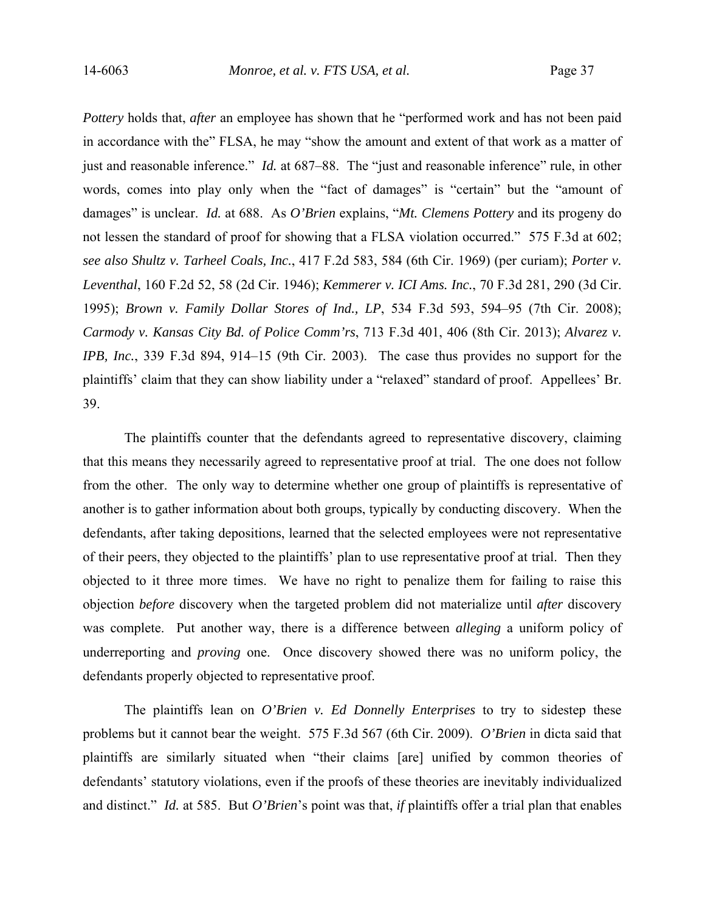*Pottery* holds that, *after* an employee has shown that he "performed work and has not been paid in accordance with the" FLSA, he may "show the amount and extent of that work as a matter of just and reasonable inference." *Id.* at 687–88. The "just and reasonable inference" rule, in other words, comes into play only when the "fact of damages" is "certain" but the "amount of damages" is unclear. *Id.* at 688. As *O'Brien* explains, "*Mt. Clemens Pottery* and its progeny do not lessen the standard of proof for showing that a FLSA violation occurred." 575 F.3d at 602; *see also Shultz v. Tarheel Coals, Inc.*, 417 F.2d 583, 584 (6th Cir. 1969) (per curiam); *Porter v. Leventhal*, 160 F.2d 52, 58 (2d Cir. 1946); *Kemmerer v. ICI Ams. Inc.*, 70 F.3d 281, 290 (3d Cir. 1995); *Brown v. Family Dollar Stores of Ind., LP*, 534 F.3d 593, 594–95 (7th Cir. 2008); *Carmody v. Kansas City Bd. of Police Comm'rs*, 713 F.3d 401, 406 (8th Cir. 2013); *Alvarez v. IPB, Inc.*, 339 F.3d 894, 914–15 (9th Cir. 2003). The case thus provides no support for the plaintiffs' claim that they can show liability under a "relaxed" standard of proof. Appellees' Br. 39.

 The plaintiffs counter that the defendants agreed to representative discovery, claiming that this means they necessarily agreed to representative proof at trial. The one does not follow from the other. The only way to determine whether one group of plaintiffs is representative of another is to gather information about both groups, typically by conducting discovery. When the defendants, after taking depositions, learned that the selected employees were not representative of their peers, they objected to the plaintiffs' plan to use representative proof at trial. Then they objected to it three more times. We have no right to penalize them for failing to raise this objection *before* discovery when the targeted problem did not materialize until *after* discovery was complete. Put another way, there is a difference between *alleging* a uniform policy of underreporting and *proving* one. Once discovery showed there was no uniform policy, the defendants properly objected to representative proof.

 The plaintiffs lean on *O'Brien v. Ed Donnelly Enterprises* to try to sidestep these problems but it cannot bear the weight. 575 F.3d 567 (6th Cir. 2009). *O'Brien* in dicta said that plaintiffs are similarly situated when "their claims [are] unified by common theories of defendants' statutory violations, even if the proofs of these theories are inevitably individualized and distinct." *Id.* at 585. But *O'Brien*'s point was that, *if* plaintiffs offer a trial plan that enables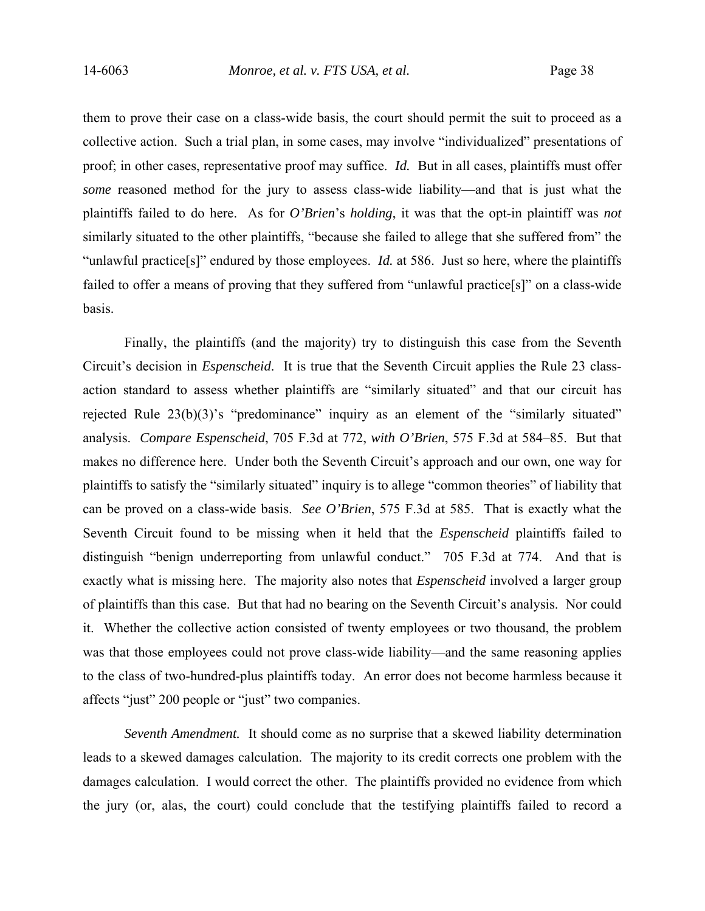them to prove their case on a class-wide basis, the court should permit the suit to proceed as a collective action. Such a trial plan, in some cases, may involve "individualized" presentations of proof; in other cases, representative proof may suffice. *Id.* But in all cases, plaintiffs must offer *some* reasoned method for the jury to assess class-wide liability—and that is just what the plaintiffs failed to do here. As for *O'Brien*'s *holding*, it was that the opt-in plaintiff was *not* similarly situated to the other plaintiffs, "because she failed to allege that she suffered from" the "unlawful practice[s]" endured by those employees. *Id.* at 586. Just so here, where the plaintiffs failed to offer a means of proving that they suffered from "unlawful practice[s]" on a class-wide basis.

 Finally, the plaintiffs (and the majority) try to distinguish this case from the Seventh Circuit's decision in *Espenscheid*. It is true that the Seventh Circuit applies the Rule 23 classaction standard to assess whether plaintiffs are "similarly situated" and that our circuit has rejected Rule 23(b)(3)'s "predominance" inquiry as an element of the "similarly situated" analysis. *Compare Espenscheid*, 705 F.3d at 772, *with O'Brien*, 575 F.3d at 584–85. But that makes no difference here. Under both the Seventh Circuit's approach and our own, one way for plaintiffs to satisfy the "similarly situated" inquiry is to allege "common theories" of liability that can be proved on a class-wide basis. *See O'Brien*, 575 F.3d at 585. That is exactly what the Seventh Circuit found to be missing when it held that the *Espenscheid* plaintiffs failed to distinguish "benign underreporting from unlawful conduct." 705 F.3d at 774. And that is exactly what is missing here. The majority also notes that *Espenscheid* involved a larger group of plaintiffs than this case. But that had no bearing on the Seventh Circuit's analysis. Nor could it. Whether the collective action consisted of twenty employees or two thousand, the problem was that those employees could not prove class-wide liability—and the same reasoning applies to the class of two-hundred-plus plaintiffs today. An error does not become harmless because it affects "just" 200 people or "just" two companies.

*Seventh Amendment.* It should come as no surprise that a skewed liability determination leads to a skewed damages calculation. The majority to its credit corrects one problem with the damages calculation. I would correct the other. The plaintiffs provided no evidence from which the jury (or, alas, the court) could conclude that the testifying plaintiffs failed to record a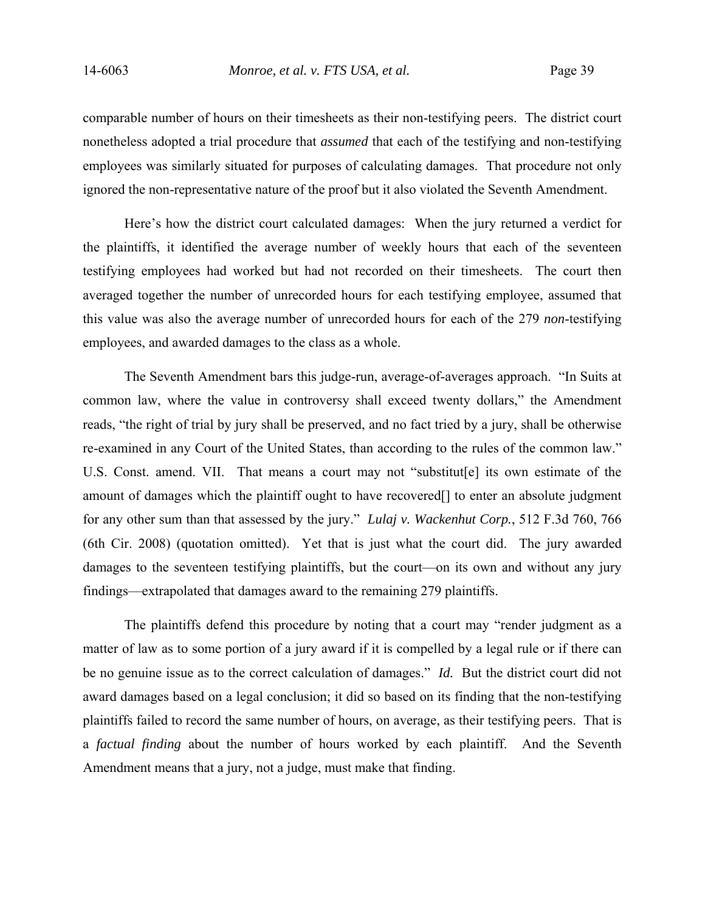comparable number of hours on their timesheets as their non-testifying peers. The district court nonetheless adopted a trial procedure that *assumed* that each of the testifying and non-testifying employees was similarly situated for purposes of calculating damages. That procedure not only ignored the non-representative nature of the proof but it also violated the Seventh Amendment.

 Here's how the district court calculated damages: When the jury returned a verdict for the plaintiffs, it identified the average number of weekly hours that each of the seventeen testifying employees had worked but had not recorded on their timesheets. The court then averaged together the number of unrecorded hours for each testifying employee, assumed that this value was also the average number of unrecorded hours for each of the 279 *non*-testifying employees, and awarded damages to the class as a whole.

The Seventh Amendment bars this judge-run, average-of-averages approach. "In Suits at common law, where the value in controversy shall exceed twenty dollars," the Amendment reads, "the right of trial by jury shall be preserved, and no fact tried by a jury, shall be otherwise re-examined in any Court of the United States, than according to the rules of the common law." U.S. Const. amend. VII. That means a court may not "substitut[e] its own estimate of the amount of damages which the plaintiff ought to have recovered[] to enter an absolute judgment for any other sum than that assessed by the jury." *Lulaj v. Wackenhut Corp.*, 512 F.3d 760, 766 (6th Cir. 2008) (quotation omitted). Yet that is just what the court did. The jury awarded damages to the seventeen testifying plaintiffs, but the court—on its own and without any jury findings—extrapolated that damages award to the remaining 279 plaintiffs.

The plaintiffs defend this procedure by noting that a court may "render judgment as a matter of law as to some portion of a jury award if it is compelled by a legal rule or if there can be no genuine issue as to the correct calculation of damages." *Id.* But the district court did not award damages based on a legal conclusion; it did so based on its finding that the non-testifying plaintiffs failed to record the same number of hours, on average, as their testifying peers. That is a *factual finding* about the number of hours worked by each plaintiff. And the Seventh Amendment means that a jury, not a judge, must make that finding.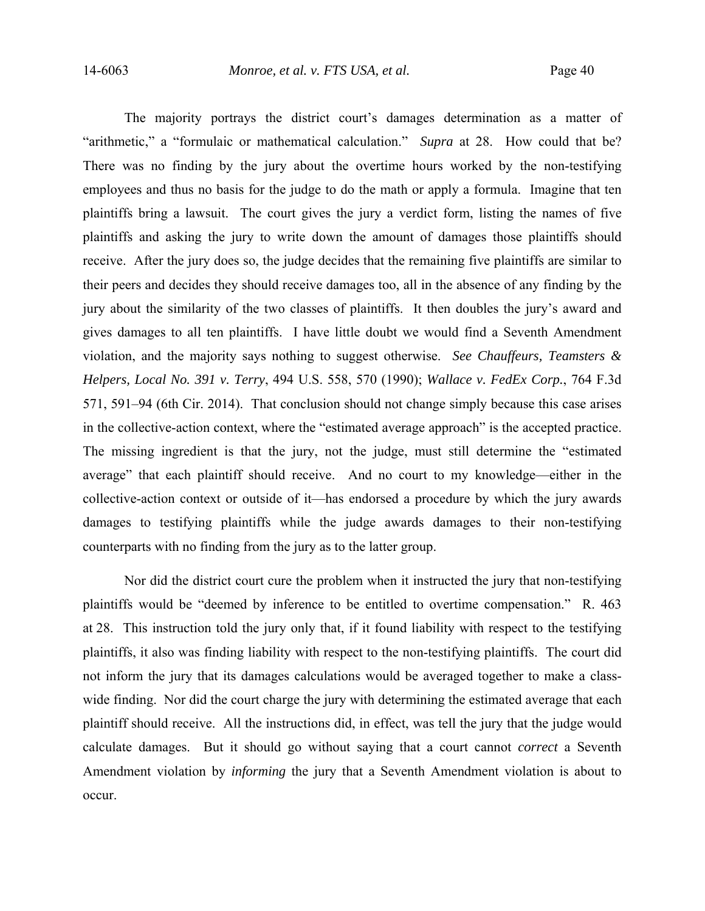The majority portrays the district court's damages determination as a matter of "arithmetic," a "formulaic or mathematical calculation." *Supra* at 28. How could that be? There was no finding by the jury about the overtime hours worked by the non-testifying employees and thus no basis for the judge to do the math or apply a formula. Imagine that ten plaintiffs bring a lawsuit. The court gives the jury a verdict form, listing the names of five plaintiffs and asking the jury to write down the amount of damages those plaintiffs should receive. After the jury does so, the judge decides that the remaining five plaintiffs are similar to their peers and decides they should receive damages too, all in the absence of any finding by the jury about the similarity of the two classes of plaintiffs. It then doubles the jury's award and gives damages to all ten plaintiffs. I have little doubt we would find a Seventh Amendment violation, and the majority says nothing to suggest otherwise. *See Chauffeurs, Teamsters & Helpers, Local No. 391 v. Terry*, 494 U.S. 558, 570 (1990); *Wallace v. FedEx Corp.*, 764 F.3d 571, 591–94 (6th Cir. 2014). That conclusion should not change simply because this case arises in the collective-action context, where the "estimated average approach" is the accepted practice. The missing ingredient is that the jury, not the judge, must still determine the "estimated average" that each plaintiff should receive. And no court to my knowledge—either in the collective-action context or outside of it—has endorsed a procedure by which the jury awards damages to testifying plaintiffs while the judge awards damages to their non-testifying counterparts with no finding from the jury as to the latter group.

Nor did the district court cure the problem when it instructed the jury that non-testifying plaintiffs would be "deemed by inference to be entitled to overtime compensation." R. 463 at 28. This instruction told the jury only that, if it found liability with respect to the testifying plaintiffs, it also was finding liability with respect to the non-testifying plaintiffs. The court did not inform the jury that its damages calculations would be averaged together to make a classwide finding. Nor did the court charge the jury with determining the estimated average that each plaintiff should receive. All the instructions did, in effect, was tell the jury that the judge would calculate damages. But it should go without saying that a court cannot *correct* a Seventh Amendment violation by *informing* the jury that a Seventh Amendment violation is about to occur.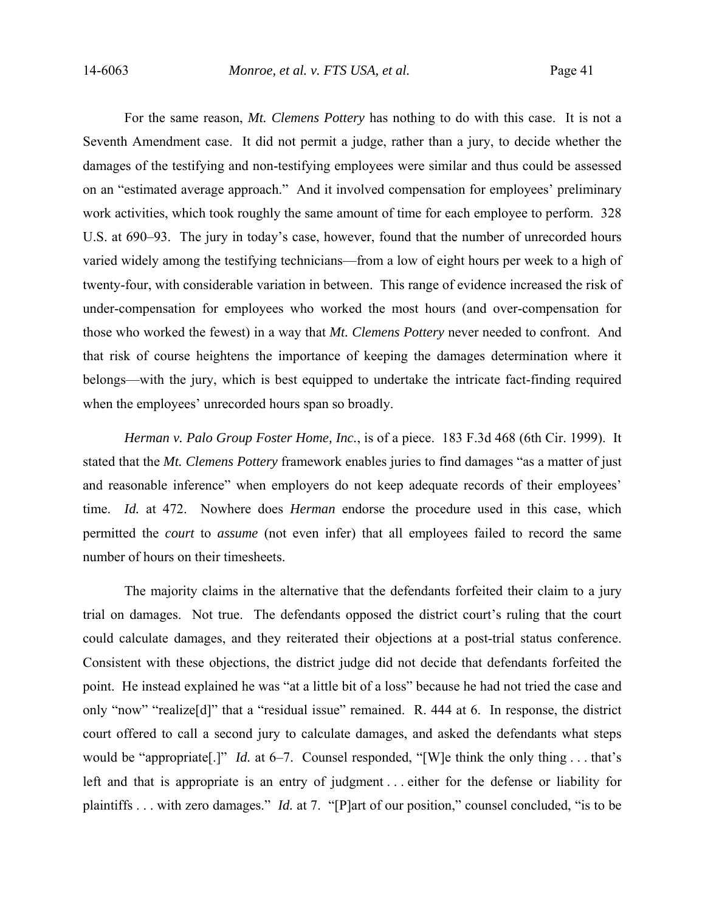For the same reason, *Mt. Clemens Pottery* has nothing to do with this case. It is not a Seventh Amendment case. It did not permit a judge, rather than a jury, to decide whether the damages of the testifying and non-testifying employees were similar and thus could be assessed on an "estimated average approach." And it involved compensation for employees' preliminary work activities, which took roughly the same amount of time for each employee to perform. 328 U.S. at 690–93. The jury in today's case, however, found that the number of unrecorded hours varied widely among the testifying technicians—from a low of eight hours per week to a high of twenty-four, with considerable variation in between. This range of evidence increased the risk of under-compensation for employees who worked the most hours (and over-compensation for those who worked the fewest) in a way that *Mt. Clemens Pottery* never needed to confront. And that risk of course heightens the importance of keeping the damages determination where it belongs—with the jury, which is best equipped to undertake the intricate fact-finding required when the employees' unrecorded hours span so broadly.

*Herman v. Palo Group Foster Home, Inc.*, is of a piece. 183 F.3d 468 (6th Cir. 1999). It stated that the *Mt. Clemens Pottery* framework enables juries to find damages "as a matter of just and reasonable inference" when employers do not keep adequate records of their employees' time. *Id.* at 472. Nowhere does *Herman* endorse the procedure used in this case, which permitted the *court* to *assume* (not even infer) that all employees failed to record the same number of hours on their timesheets.

The majority claims in the alternative that the defendants forfeited their claim to a jury trial on damages. Not true. The defendants opposed the district court's ruling that the court could calculate damages, and they reiterated their objections at a post-trial status conference. Consistent with these objections, the district judge did not decide that defendants forfeited the point. He instead explained he was "at a little bit of a loss" because he had not tried the case and only "now" "realize[d]" that a "residual issue" remained. R. 444 at 6. In response, the district court offered to call a second jury to calculate damages, and asked the defendants what steps would be "appropriate<sup>[1]"</sup> *Id.* at 6–7. Counsel responded, "[W]e think the only thing ... that's left and that is appropriate is an entry of judgment . . . either for the defense or liability for plaintiffs . . . with zero damages." *Id.* at 7. "[P]art of our position," counsel concluded, "is to be